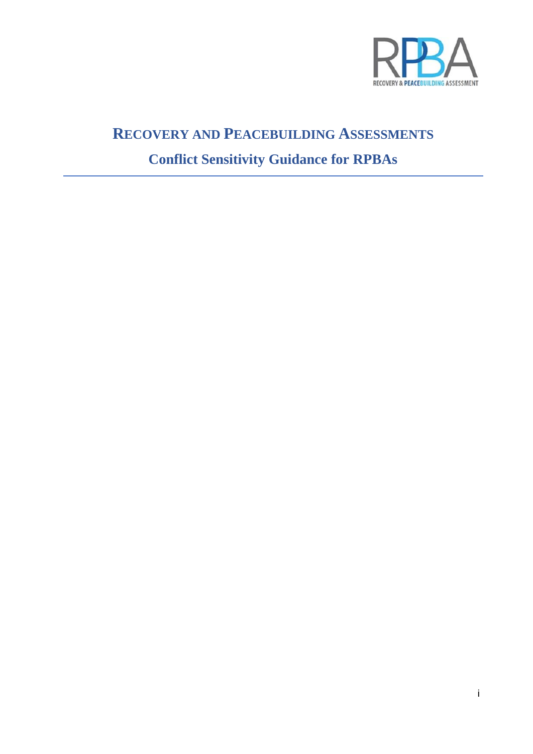

# **RECOVERY AND PEACEBUILDING ASSESSMENTS Conflict Sensitivity Guidance for RPBAs**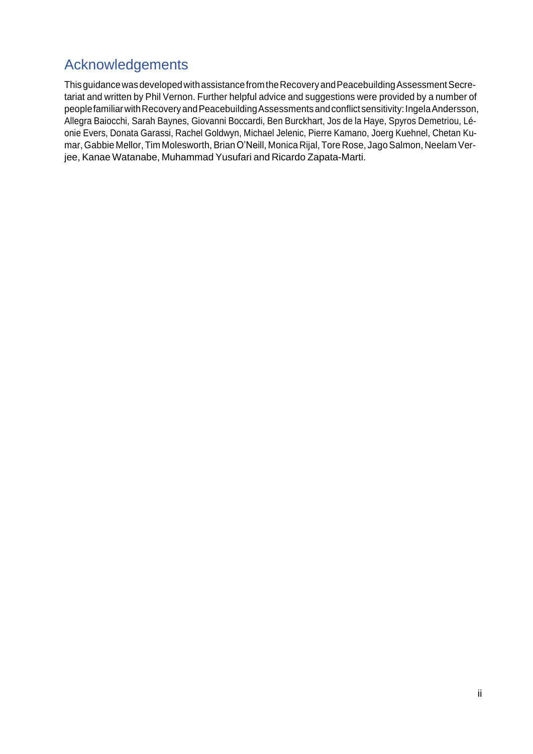# <span id="page-1-0"></span>Acknowledgements

ThisguidancewasdevelopedwithassistancefromtheRecoveryandPeacebuildingAssessmentSecretariat and written by Phil Vernon. Further helpful advice and suggestions were provided by a number of peoplefamiliar with Recovery and Peacebuilding Assessments and conflict sensitivity: Ingela Andersson, Allegra Baiocchi, Sarah Baynes, Giovanni Boccardi, Ben Burckhart, Jos de la Haye, Spyros Demetriou, Léonie Evers, Donata Garassi, Rachel Goldwyn, Michael Jelenic, Pierre Kamano, Joerg Kuehnel, Chetan Kumar, Gabbie Mellor, Tim Molesworth, Brian O'Neill, Monica Rijal, Tore Rose, Jago Salmon, Neelam Verjee, Kanae Watanabe, Muhammad Yusufari and Ricardo Zapata-Marti.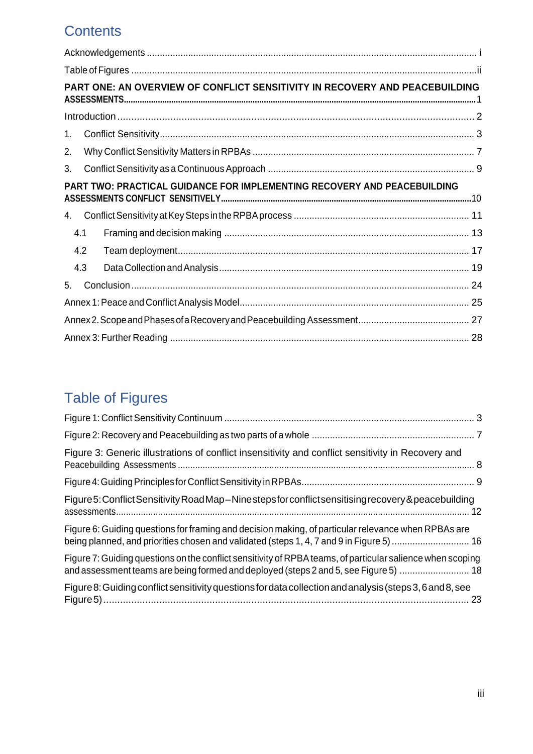# **Contents**

| PART ONE: AN OVERVIEW OF CONFLICT SENSITIVITY IN RECOVERY AND PEACEBUILDING |  |  |  |  |
|-----------------------------------------------------------------------------|--|--|--|--|
|                                                                             |  |  |  |  |
| 1.                                                                          |  |  |  |  |
| 2.                                                                          |  |  |  |  |
| 3.                                                                          |  |  |  |  |
| PART TWO: PRACTICAL GUIDANCE FOR IMPLEMENTING RECOVERY AND PEACEBUILDING    |  |  |  |  |
| 4.                                                                          |  |  |  |  |
| 4.1                                                                         |  |  |  |  |
| 4.2                                                                         |  |  |  |  |
| 4.3                                                                         |  |  |  |  |
| 5.                                                                          |  |  |  |  |
|                                                                             |  |  |  |  |
|                                                                             |  |  |  |  |
|                                                                             |  |  |  |  |

# <span id="page-2-0"></span>Table of Figures

| Figure 3: Generic illustrations of conflict insensitivity and conflict sensitivity in Recovery and                                                                                                 |  |
|----------------------------------------------------------------------------------------------------------------------------------------------------------------------------------------------------|--|
|                                                                                                                                                                                                    |  |
| Figure 5: Conflict Sensitivity RoadMap-Nine steps for conflict sensitising recovery & peacebuilding                                                                                                |  |
| Figure 6: Guiding questions for framing and decision making, of particular relevance when RPBAs are<br>being planned, and priorities chosen and validated (steps 1, 4, 7 and 9 in Figure 5)  16    |  |
| Figure 7: Guiding questions on the conflict sensitivity of RPBA teams, of particular salience when scoping<br>and assessment teams are being formed and deployed (steps 2 and 5, see Figure 5)  18 |  |
| Figure 8: Guiding conflict sensitivity questions for data collection and analysis (steps 3, 6 and 8, see                                                                                           |  |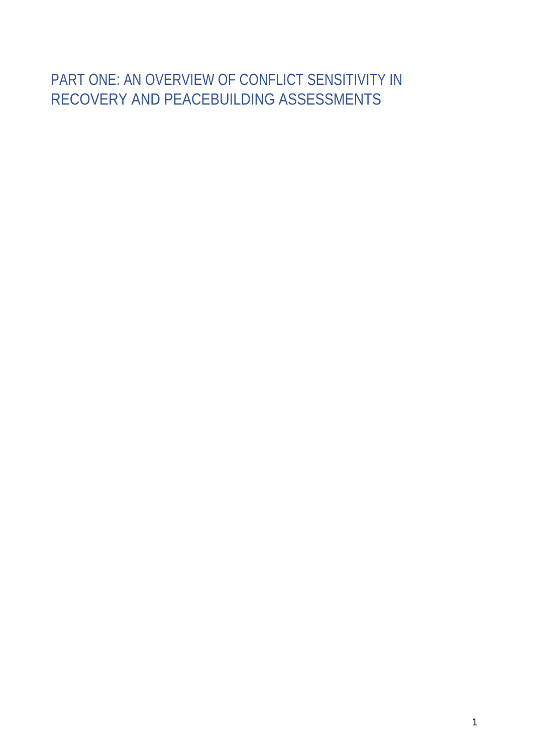# <span id="page-3-0"></span>PART ONE: AN OVERVIEW OF CONFLICT SENSITIVITY IN RECOVERY AND PEACEBUILDING ASSESSMENTS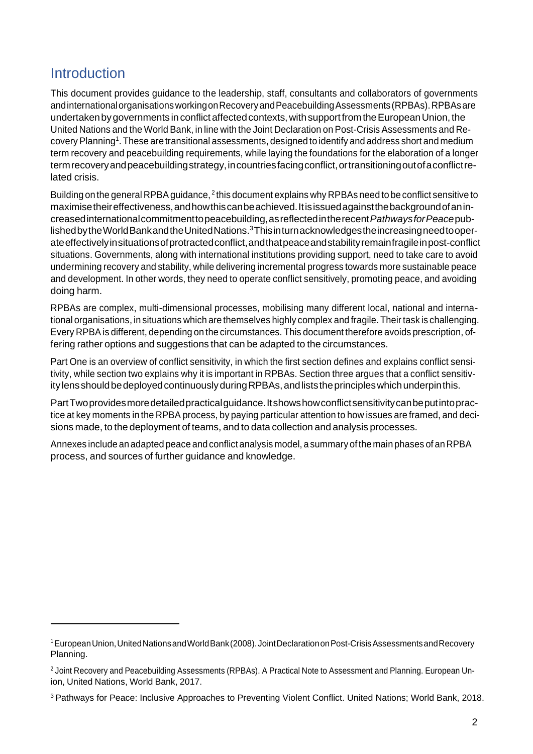# <span id="page-4-0"></span>**Introduction**

This document provides guidance to the leadership, staff, consultants and collaborators of governments andinternationalorganisationsworkingonRecoveryandPeacebuildingAssessments(RPBAs).RPBAsare undertaken by governments in conflict affected contexts, with support from the European Union, the United Nations and the World Bank, in line with the Joint Declaration on Post-Crisis Assessments and Recovery Planning<sup>1</sup>. These are transitional assessments, designed to identify and address short and medium term recovery and peacebuilding requirements, while laying the foundations for the elaboration of a longer term recovery and peacebuilding strategy, in countries facing conflict, or transitioning out of a conflict related crisis.

Building on the general RPBA guidance, $^2$  this document explains why RPBAs need to be conflict sensitive to  $\,$ maximisetheireffectiveness,andhowthiscanbeachieved.Itisissuedagainstthebackgroundofanincreasedinternationalcommitmenttopeacebuilding,asreflectedintherecent*PathwaysforPeace*publishedbytheWorldBankandtheUnitedNations.3Thisinturnacknowledgestheincreasingneedtooperateeffectivelyinsituationsofprotractedconflict,andthatpeaceandstabilityremainfragileinpost-conflict situations. Governments, along with international institutions providing support, need to take care to avoid undermining recovery and stability, while delivering incremental progress towards more sustainable peace and development. In other words, they need to operate conflict sensitively, promoting peace, and avoiding doing harm.

RPBAs are complex, multi-dimensional processes, mobilising many different local, national and international organisations, in situations which are themselves highly complex and fragile. Theirtask is challenging. Every RPBA is different, depending on the circumstances. This document therefore avoids prescription, offering rather options and suggestions that can be adapted to the circumstances.

Part One is an overview of conflict sensitivity, in which the first section defines and explains conflict sensitivity, while section two explains why it is important in RPBAs. Section three argues that a conflict sensitivity lens should be deployed continuously during RPBAs, and lists the principles which underpin this.

PartTwoprovidesmoredetailedpracticalguidance.Itshowshowconflictsensitivitycanbeputintopractice at key moments in the RPBA process, by paying particular attention to how issues are framed, and decisions made, to the deployment of teams, and to data collection and analysis processes.

Annexes include an adapted peace andconflict analysis model, asummary ofthe main phases of an RPBA process, and sources of further guidance and knowledge.

<sup>1</sup>EuropeanUnion,UnitedNationsandWorldBank(2008).JointDeclarationonPost-CrisisAssessmentsandRecovery Planning.

<sup>&</sup>lt;sup>2</sup> Joint Recovery and Peacebuilding Assessments (RPBAs). A Practical Note to Assessment and Planning. European Union, United Nations, World Bank, 2017.

<sup>3</sup> Pathways for Peace: Inclusive Approaches to Preventing Violent Conflict. United Nations; World Bank, 2018.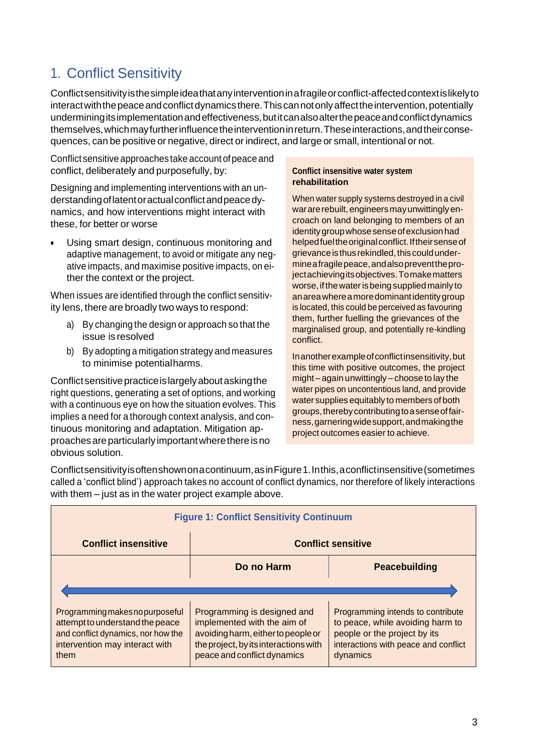# <span id="page-5-0"></span>1. Conflict Sensitivity

Conflictsensitivityisthesimpleideathatanyinterventioninafragileorconflict-affectedcontextislikelyto interact with the peace and conflict dynamics there. This can not only affect the intervention, potentially underminingitsimplementationandeffectiveness,butitcanalsoalterthepeaceandconflictdynamics themselves,whichmayfurtherinfluencetheinterventioninreturn.Theseinteractions,andtheirconsequences, can be positive or negative, direct or indirect, and large or small, intentional or not.

Conflict sensitive approaches take account of peace and conflict, deliberately and purposefully, by:

Designing and implementing interventions with an understandingoflatentoractualconflictandpeacedynamics, and how interventions might interact with these, for better or worse

Using smart design, continuous monitoring and adaptive management, to avoid or mitigate any negative impacts, and maximise positive impacts, on either the context or the project.

When issues are identified through the conflict sensitivity lens, there are broadly two ways to respond:

- a) By changing the design or approach so that the issue is resolved
- b) By adopting a mitigation strategy and measures to minimise potentialharms.

Conflict sensitive practice is largely about asking the right questions, generating a set of options, and working with a continuous eye on how the situation evolves. This implies a need for a thorough context analysis, and continuous monitoring and adaptation. Mitigation approaches are particularly important where there is no obvious solution.

### **Conflict insensitive water system rehabilitation**

When water supply systems destroyed in a civil war are rebuilt, engineers may unwittingly encroach on land belonging to members of an identity group whose sense of exclusion had helped fuel the original conflict. If their sense of grievanceisthusrekindled,thiscouldundermineafragilepeace,andalsopreventtheprojectachievingitsobjectives.Tomakematters worse, if the water is being supplied mainly to anareawhereamoredominantidentitygroup is located, this could be perceived as favouring them, further fuelling the grievances of the marginalised group, and potentially re-kindling conflict.

In another example of conflict insensitivity, but this time with positive outcomes, the project might – again unwittingly – choose to lay the water pipes on uncontentious land, and provide water supplies equitably to members of both groups,therebycontributingtoasenseoffairness,garneringwidesupport,andmakingthe project outcomes easier to achieve.

Conflictsensitivityisoftenshownonacontinuum,asinFigure1.Inthis,aconflictinsensitive(sometimes called a 'conflict blind') approach takes no account of conflict dynamics, nor therefore of likely interactions with them – just as in the water project example above.

| <b>Figure 1: Conflict Sensitivity Continuum</b>                                                                                                    |                                                                                                                                                                          |                                                                                                                                                           |  |  |
|----------------------------------------------------------------------------------------------------------------------------------------------------|--------------------------------------------------------------------------------------------------------------------------------------------------------------------------|-----------------------------------------------------------------------------------------------------------------------------------------------------------|--|--|
| <b>Conflict insensitive</b>                                                                                                                        | <b>Conflict sensitive</b>                                                                                                                                                |                                                                                                                                                           |  |  |
|                                                                                                                                                    | Do no Harm                                                                                                                                                               | <b>Peacebuilding</b>                                                                                                                                      |  |  |
|                                                                                                                                                    |                                                                                                                                                                          |                                                                                                                                                           |  |  |
| Programming makes no purposeful<br>attempt to understand the peace<br>and conflict dynamics, nor how the<br>intervention may interact with<br>them | Programming is designed and<br>implemented with the aim of<br>avoiding harm, either to people or<br>the project, by its interactions with<br>peace and conflict dynamics | Programming intends to contribute<br>to peace, while avoiding harm to<br>people or the project by its<br>interactions with peace and conflict<br>dynamics |  |  |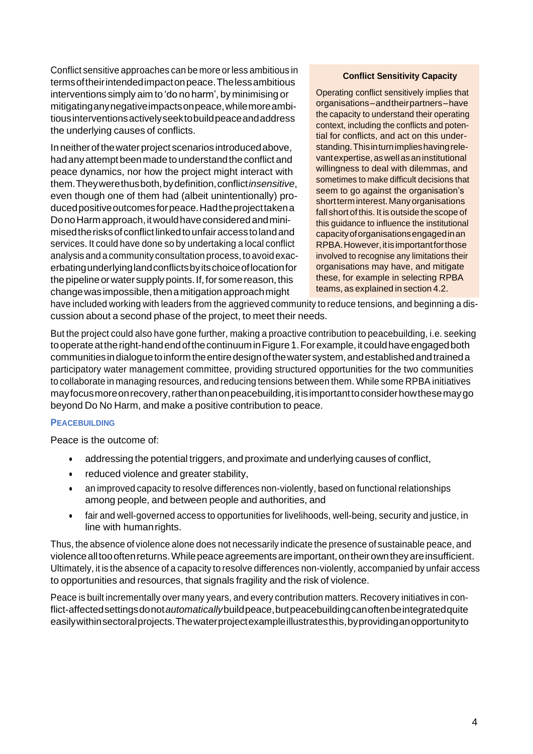Conflict sensitive approaches can be more or less ambitious in termsoftheirintendedimpactonpeace.Thelessambitious interventions simply aim to 'do no harm', by minimising or mitigatinganynegativeimpactsonpeace,whilemoreambitiousinterventionsactivelyseektobuildpeaceandaddress the underlying causes of conflicts.

In neither of the water project scenarios introduced above, had any attempt been made to understand the conflict and peace dynamics, nor how the project might interact with them.Theywerethusboth,bydefinition,conflict*insensitive*, even though one of them had (albeit unintentionally) produced positive outcomes for peace. Had the project taken a Do no Harm approach, it would have considered and minimisedtherisksofconflictlinkedtounfairaccesstolandand services. It could have done so by undertaking a local conflict analysis and a community consultation process, to avoid exacerbatingunderlyinglandconflictsbyitschoiceoflocationfor the pipeline or water supply points. If, for some reason, this change was impossible, then a mitigation approach might

### **Conflict Sensitivity Capacity**

Operating conflict sensitively implies that organisations–andtheirpartners–have the capacity to understand their operating context, including the conflicts and potential for conflicts, and act on this understanding.Thisinturnimplieshavingrelevant expertise, as well as an institutional willingness to deal with dilemmas, and sometimes to make difficult decisions that seem to go against the organisation's short term interest. Many organisations fall short of this. It is outside the scope of this guidance to influence the institutional capacityoforganisationsengagedinan RPBA. However, it is important for those involved to recognise any limitations their organisations may have, and mitigate these, for example in selecting RPBA teams, as explained in section 4.2.

have included working with leaders from the aggrieved community to reduce tensions, and beginning a discussion about a second phase of the project, to meet their needs.

But the project could also have gone further, making a proactive contribution to peacebuilding, i.e. seeking to operate at the right-hand end of the continuum in Figure 1. For example, it could have engaged both communities in dialogue to inform the entire design of the water system, and established and trained a participatory water management committee, providing structured opportunities for the two communities to collaborate in managing resources, and reducing tensions between them. While some RPBA initiatives may focus more on recovery, rather than on peacebuilding, it is important to consider how these may go beyond Do No Harm, and make a positive contribution to peace.

#### **PEACEBUILDING**

Peace is the outcome of:

- addressing the potential triggers, and proximate and underlying causes of conflict,
- reduced violence and greater stability,
- an improved capacity to resolve differences non-violently, based on functional relationships among people, and between people and authorities, and
- fair and well-governed access to opportunities for livelihoods, well-being, security and justice, in line with humanrights.

Thus, the absence of violence alone does not necessarily indicate the presence of sustainable peace, and violencealltoooftenreturns.Whilepeaceagreementsareimportant,ontheirowntheyareinsufficient. Ultimately, it is the absence of a capacity to resolve differences non-violently, accompanied by unfair access to opportunities and resources, that signals fragility and the risk of violence.

Peace is built incrementally over many years, and every contribution matters. Recovery initiatives in conflict-affectedsettingsdonot*automatically*buildpeace,butpeacebuildingcanoftenbeintegratedquite easily within sectoral projects. The water project example illustrates this, by providing an opportunity to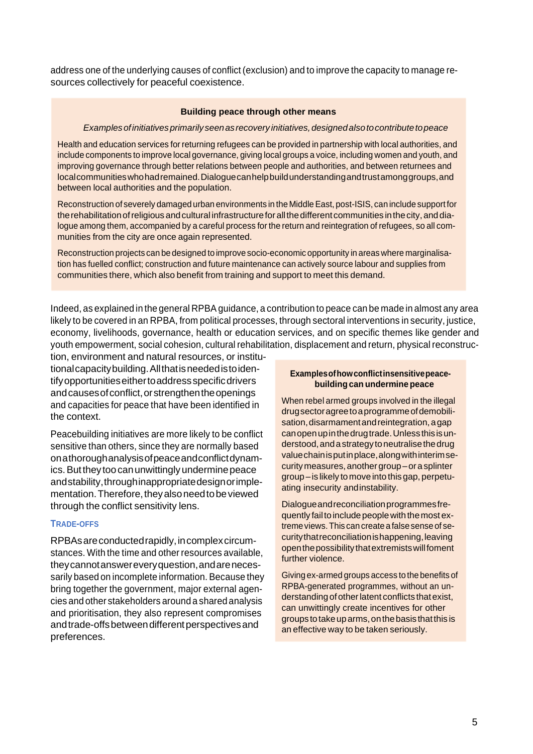address one of the underlying causes of conflict (exclusion) and to improve the capacity to manage resources collectively for peaceful coexistence.

#### **Building peace through other means**

#### *Examplesofinitiativesprimarily seenasrecovery initiatives,designedalsotocontributetopeace*

Health and education services for returning refugees can be provided in partnership with local authorities, and include components to improve local governance, giving local groups a voice, including women and youth, and improving governance through better relations between people and authorities, and between returnees and localcommunitieswhohadremained.Dialoguecanhelpbuildunderstandingandtrustamonggroups,and between local authorities and the population.

Reconstruction of severely damaged urban environments in the MiddleEast, post-ISIS, can include support for the rehabilitation of religious and cultural infrastructure for all the different communities in the city, and dialogue among them, accompanied by a careful process for the return and reintegration of refugees, so all communities from the city are once again represented.

Reconstruction projects can be designed to improve socio-economic opportunity in areas where marginalisation has fuelled conflict; construction and future maintenance can actively source labour and supplies from communities there, which also benefit from training and support to meet this demand.

Indeed, as explained in the general RPBA guidance, a contribution to peace can be made in almost any area likely to be covered in an RPBA, from political processes, through sectoral interventions in security, justice, economy, livelihoods, governance, health or education services, and on specific themes like gender and youth empowerment, social cohesion, cultural rehabilitation, displacement and return, physical reconstruc-

tion, environment and natural resources, or institutionalcapacitybuilding.Allthatisneededistoidentifyopportunitieseithertoaddressspecificdrivers and causes of conflict, or strengthen the openings and capacities for peace that have been identified in the context.

Peacebuilding initiatives are more likely to be conflict sensitive than others, since they are normally based onathoroughanalysisofpeaceandconflictdynamics. But they too can unwittingly undermine peace andstability,throughinappropriatedesignorimplementation. Therefore, they also need to be viewed through the conflict sensitivity lens.

#### **TRADE-OFFS**

RPBAsareconductedrapidly,incomplexcircumstances. With the time and other resources available, theycannotanswereveryquestion,andarenecessarily based on incomplete information. Because they bring together the government, major external agencies and other stakeholders around a shared analysis and prioritisation, they also represent compromises andtrade-offsbetweendifferentperspectivesand preferences.

#### **Examplesofhowconflictinsensitivepeacebuildingcan undermine peace**

When rebel armed groups involved in the illegal drugsectoragreetoaprogrammeofdemobilisation, disarmament and reintegration, a gap canopenupinthedrugtrade.Unlessthisisunderstood,andastrategy toneutralisethedrug valuechainisputinplace,alongwithinterimsecuritymeasures,anothergroup–orasplinter group –is likely tomoveinto this gap, perpetuating insecurity andinstability.

Dialogueandreconciliationprogrammesfrequently fail to include people with the most extremeviews.This can createa falsesenseof securitythatreconciliationishappening,leaving openthepossibilitythatextremistswillfoment further violence.

Giving ex-armed groups access to thebenefits of RPBA-generated programmes, without an understanding of other latent conflicts that exist, can unwittingly create incentives for other groupstotakeuparms,onthebasis thatthis is an effective way to be taken seriously.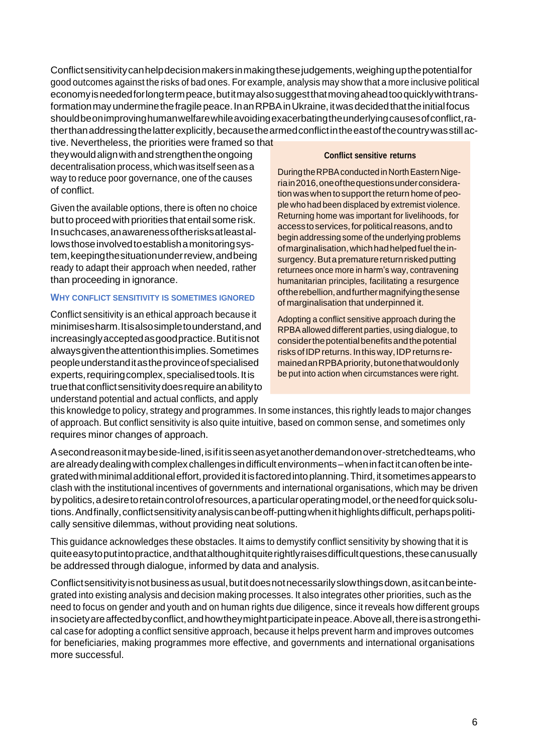Conflictsensitivitycanhelpdecisionmakersinmakingthesejudgements,weighingupthepotentialfor good outcomes against the risks of bad ones. For example, analysis may show that a more inclusive political economyisneededforlongtermpeace,butitmayalsosuggestthatmovingaheadtooquicklywithtransformation may undermine the fragile peace. In an RPBA in Ukraine, it was decided that the initial focus shouldbeonimprovinghumanwelfarewhileavoidingexacerbatingtheunderlyingcausesofconflict,ratherthanaddressingthelatterexplicitly,becausethearmedconflictintheeastofthecountrywasstillac-

tive. Nevertheless, the priorities were framed so that theywouldalignwithandstrengthentheongoing decentralisation process, which was itself seen as a way to reduce poor governance, one of the causes of conflict.

Given the available options, there is often no choice but to proceed with priorities that entail some risk. Insuchcases,anawarenessoftherisksatleastallowsthoseinvolvedtoestablishamonitoringsystem,keepingthesituationunderreview,andbeing ready to adapt their approach when needed, rather than proceeding in ignorance.

#### **WHY CONFLICT SENSITIVITY IS SOMETIMES IGNORED**

Conflict sensitivity is an ethical approach because it minimisesharm.Itisalsosimpletounderstand,and increasinglyacceptedasgoodpractice.Butitisnot alwaysgiventheattentionthisimplies.Sometimes peopleunderstanditastheprovinceofspecialised experts, requiring complex, specialised tools. It is truethatconflictsensitivitydoesrequireanabilityto understand potential and actual conflicts, and apply

### **Conflict sensitive returns**

During the RPBA conducted in North Eastern Nigeriain2016,oneofthequestionsunderconsideration was when to support the return home of people who had been displaced by extremist violence. Returning home was important for livelihoods, for access to services, for political reasons, and to begin addressing some of the underlying problems ofmarginalisation,whichhadhelpedfueltheinsurgency. But a premature return risked putting returnees once more in harm's way, contravening humanitarian principles, facilitating a resurgence oftherebellion,andfurthermagnifyingthesense of marginalisation that underpinned it.

Adopting a conflict sensitive approach during the RPBAallowed different parties, using dialogue, to considerthepotentialbenefitsandthepotential risksofIDPreturns.Inthisway,IDPreturns remainedanRPBApriority,butonethatwouldonly be put into action when circumstances were right.

this knowledge to policy, strategy and programmes. In some instances, this rightly leads to major changes of approach. But conflict sensitivity is also quite intuitive, based on common sense, and sometimes only requires minor changes of approach.

Asecondreasonitmaybeside-lined,isifitisseenasyetanotherdemandonover-stretchedteams,who are already dealing with complex challenges in difficult environments – when in fact it can often be integrated with minimal additional effort, provided it is factored into planning. Third, it sometimes appears to clash with the institutional incentives of governments and international organisations, which may be driven bypolitics,adesiretoretaincontrolofresources,aparticularoperatingmodel,ortheneedforquicksolutions. And finally, conflict sensitivity analysis can be off-putting when it highlights difficult, perhaps politically sensitive dilemmas, without providing neat solutions.

This guidance acknowledges these obstacles. It aims to demystify conflict sensitivity by showing that it is quiteeasytoputintopractice,andthatalthoughitquiterightlyraisesdifficultquestions,thesecanusually be addressed through dialogue, informed by data and analysis.

Conflictsensitivity is not business as usual, but it does not necessarily slow things down, as it can be integrated into existing analysis and decision making processes. It also integrates other priorities, such as the need to focus on gender and youth and on human rights due diligence, since it reveals how different groups insociety are affected by conflict, and how they might participate in peace. Above all, there is a strong ethical case for adopting a conflict sensitive approach, because it helps prevent harm and improves outcomes for beneficiaries, making programmes more effective, and governments and international organisations more successful.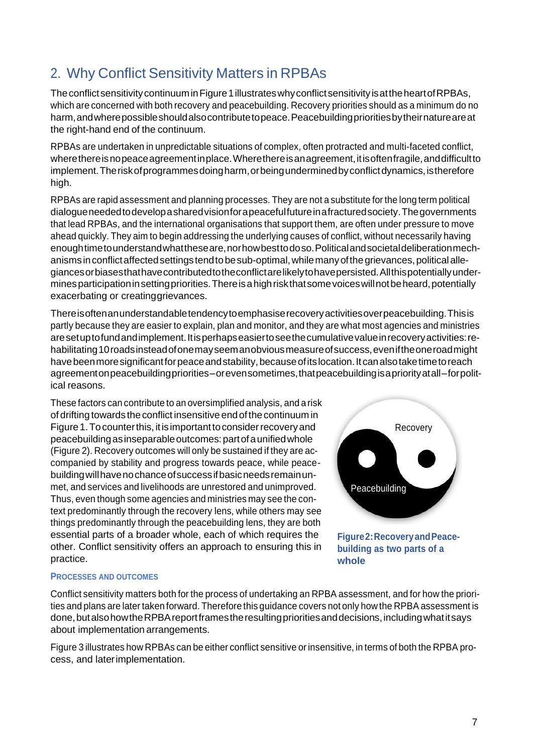# <span id="page-9-0"></span>2. Why Conflict Sensitivity Matters in RPBAs

The conflict sensitivity continuum in Figure 1 illustrates why conflict sensitivity is at the heart of RPBAs, which are concerned with both recovery and peacebuilding. Recovery priorities should as a minimum do no harm,andwherepossibleshouldalsocontributetopeace.Peacebuildingprioritiesbytheirnatureareat the right-hand end of the continuum.

RPBAs are undertaken in unpredictable situations of complex, often protracted and multi-faceted conflict, where there is no peace agreement in place. Where there is an agreement, it is often fragile, and difficult to implement. The risk of programmes doing harm, or being undermined by conflict dynamics, is therefore high.

RPBAs are rapid assessment and planning processes. They are not a substitute for the long term political dialogueneededtodevelopasharedvisionforapeacefulfutureinafracturedsociety.Thegovernments that lead RPBAs, and the international organisations that support them, are often under pressure to move ahead quickly. They aim to begin addressing the underlying causes of conflict, without necessarily having enoughtimetounderstandwhattheseare,norhowbesttodoso.Politicalandsocietaldeliberationmechanisms in conflict affected settings tend to be sub-optimal, while many of the grievances, political allegiancesorbiasesthathavecontributedtotheconflictarelikelytohavepersisted.Allthispotentiallyundermines participation in setting priorities. There is a high risk that some voices will not be heard, potentially exacerbating or creatinggrievances.

Thereisoftenanunderstandabletendencytoemphasiserecoveryactivitiesoverpeacebuilding.Thisis partly because they are easier to explain, plan and monitor, and they are what most agencies and ministries aresetuptofundandimplement.Itisperhapseasiertoseethecumulativevalueinrecoveryactivities:rehabilitating 10 roads instead of one may seem an obvious measure of success, even if the one road might havebeenmoresignificantforpeaceandstability,becauseofitslocation.Itcanalsotaketimetoreach agreementonpeacebuildingpriorities–orevensometimes,thatpeacebuildingisapriorityatall–forpolitical reasons.

These factors can contribute to an oversimplified analysis, and a risk of drifting towards theconflict insensitive endofthecontinuum in Figure 1. To counter this, it is important to consider recovery and peacebuildingasinseparableoutcomes:partofaunifiedwhole (Figure 2). Recovery outcomes will only be sustained if they are accompanied by stability and progress towards peace, while peacebuildingwillhavenochanceofsuccessifbasicneedsremainunmet, and services and livelihoods are unrestored and unimproved. Thus, even though some agencies and ministries may see the context predominantly through the recovery lens, while others may see things predominantly through the peacebuilding lens, they are both essential parts of a broader whole, each of which requires the other. Conflict sensitivity offers an approach to ensuring this in practice.



### **PROCESSES AND OUTCOMES**

Conflict sensitivity matters both for the process of undertaking an RPBA assessment, and for how the priorities and plans are later taken forward. Therefore this guidance covers not only how the RPBA assessment is done, but also how the RPBA report frames the resulting priorities and decisions, including what it says about implementation arrangements.

Figure 3 illustrates how RPBAs can be either conflict sensitive or insensitive, in terms of both the RPBA process, and laterimplementation.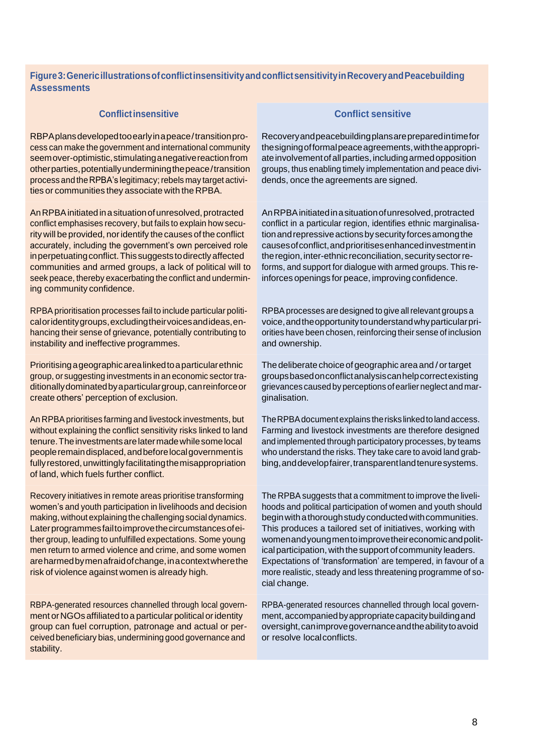### **Figure3:GenericillustrationsofconflictinsensitivityandconflictsensitivityinRecoveryandPeacebuilding Assessments**

#### **Conflictinsensitive Conflict sensitive**

RBPAplansdevelopedtooearlyinapeace/transitionprocess can make the government and international community seemover-optimistic, stimulating a negative reaction from otherparties,potentiallyunderminingthepeace/transition process and the RPBA's legitimacy; rebels may target activities or communities they associate with the RPBA.

An RPBA initiated in a situation of unresolved, protracted conflict emphasises recovery, but fails to explain how security will be provided, noridentify the causes of the conflict accurately, including the government's own perceived role in perpetuating conflict. This suggests to directly affected communities and armed groups, a lack of political will to seek peace, thereby exacerbating the conflict and undermining community confidence.

RPBA prioritisation processes fail to include particular politicaloridentitygroups,excludingtheirvoicesandideas,enhancing their sense of grievance, potentially contributing to instability and ineffective programmes.

Prioritisingageographicarealinkedtoaparticularethnic group, or suggesting investments in an economic sector traditionallydominatedbyaparticulargroup,canreinforceor create others' perception of exclusion.

An RPBA prioritises farming and livestock investments, but without explaining the conflict sensitivity risks linked to land tenure. The investments are later made while some local peopleremaindisplaced,andbeforelocalgovernmentis fully restored, unwittingly facilitating the misappropriation of land, which fuels further conflict.

Recovery initiatives in remote areas prioritise transforming women's and youth participation in livelihoods and decision making, without explaining the challenging social dynamics. Laterprogrammesfailtoimprovethecircumstancesofeither group, leading to unfulfilled expectations. Some young men return to armed violence and crime, and some women areharmedbymenafraidofchange,inacontextwherethe risk of violence against women is already high.

RBPA-generated resources channelled through local government or NGOs affiliated to a particular political or identity group can fuel corruption, patronage and actual or perceived beneficiary bias, undermining good governance and stability.

Recoveryandpeacebuildingplansarepreparedintimefor thesigningofformalpeaceagreements,withtheappropriateinvolvementofallparties,includingarmedopposition groups, thus enabling timely implementation and peace dividends, once the agreements are signed.

AnRPBAinitiatedinasituationofunresolved,protracted conflict in a particular region, identifies ethnic marginalisationandrepressiveactionsbysecurityforcesamongthe causesofconflict,andprioritisesenhancedinvestmentin the region, inter-ethnic reconciliation, security sector reforms, and support for dialogue with armed groups. This reinforces openings for peace, improving confidence.

RPBAprocesses are designed to give allrelevant groups a voice,andtheopportunitytounderstandwhyparticularpriorities have been chosen, reinforcing their sense of inclusion and ownership.

The deliberate choice of geographic area and / or target groupsbasedonconflictanalysiscanhelpcorrectexisting grievances caused byperceptions ofearlier neglect and marginalisation.

TheRPBAdocumentexplains theriskslinkedtolandaccess. Farming and livestock investments are therefore designed and implemented through participatory processes, by teams who understand the risks. They take care to avoid land grabbing, and develop fairer, transparent land tenuresystems.

The RPBA suggests that a commitment to improve the livelihoods and political participation of women and youth should begin with a thorough study conducted with communities. This produces a tailored set of initiatives, working with womenandyoungmentoimprovetheireconomicandpolitical participation, with the support of community leaders. Expectations of 'transformation' are tempered, in favour of a more realistic, steady and less threatening programme of social change.

RPBA-generated resources channelled through local government,accompaniedbyappropriatecapacitybuildingand oversight,canimprovegovernanceandtheabilitytoavoid or resolve localconflicts.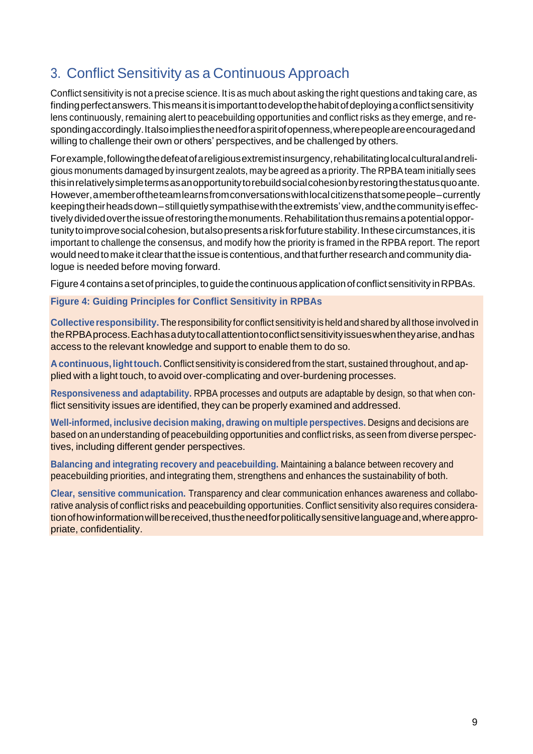# <span id="page-11-0"></span>3. Conflict Sensitivity as a Continuous Approach

Conflict sensitivity is not a precise science. It is as much about asking the right questions and taking care, as findingperfectanswers.Thismeansitisimportanttodevelopthehabitofdeployingaconflictsensitivity lens continuously, remaining alert to peacebuilding opportunities and conflict risks as they emerge, and respondingaccordingly.Italsoimpliestheneedforaspiritofopenness, where people are encouraged and willing to challenge their own or others' perspectives, and be challenged by others.

Forexample,followingthedefeatofareligiousextremistinsurgency,rehabilitatinglocalculturalandreligious monuments damaged by insurgent zealots, may be agreed as a priority. The RPBAteam initially sees thisinrelativelysimpletermsasanopportunitytorebuildsocialcohesionbyrestoringthestatusquoante. However,amemberoftheteamlearnsfromconversationswithlocalcitizensthatsomepeople–currently keepingtheirheadsdown–stillquietlysympathisewiththeextremists'view,andthecommunityiseffectively divided over the issue of restoring the monuments. Rehabilitation thus remains a potential opportunity to improve social cohesion, but also presents a risk for future stability. In these circumstances, it is important to challenge the consensus, and modify how the priority is framed in the RPBA report. The report would need to make it clear that the issue is contentious, and that further research and community dialogue is needed before moving forward.

Figure 4 contains a set of principles, to guide the continuous application of conflict sensitivity in RPBAs.

# **Figure 4: Guiding Principles for Conflict Sensitivity in RPBAs**

**Collectiveresponsibility.** Theresponsibility for conflict sensitivity is heldandshared by allthose involved in theRPBAprocess.Eachhasadutytocallattentiontoconflictsensitivityissueswhentheyarise,andhas access to the relevant knowledge and support to enable them to do so.

**Acontinuous, lighttouch.** Conflict sensitivity is considered from thestart, sustained throughout, and applied with a light touch, to avoid over-complicating and over-burdening processes.

**Responsiveness and adaptability.** RPBA processes and outputs are adaptable by design, so that when conflict sensitivity issues are identified, they can be properly examined and addressed.

**Well-informed, inclusive decision making, drawing on multiple perspectives.** Designs and decisions are based on an understanding of peacebuilding opportunities and conflict risks, as seen from diverse perspectives, including different gender perspectives.

**Balancing and integrating recovery and peacebuilding.** Maintaining a balance between recovery and peacebuilding priorities, and integrating them, strengthens and enhances the sustainability of both.

**Clear, sensitive communication.** Transparency and clear communication enhances awareness and collaborative analysis of conflict risks and peacebuilding opportunities. Conflict sensitivity also requires consideration of how information will be received, thus the need for politically sensitive language and, where appropriate, confidentiality.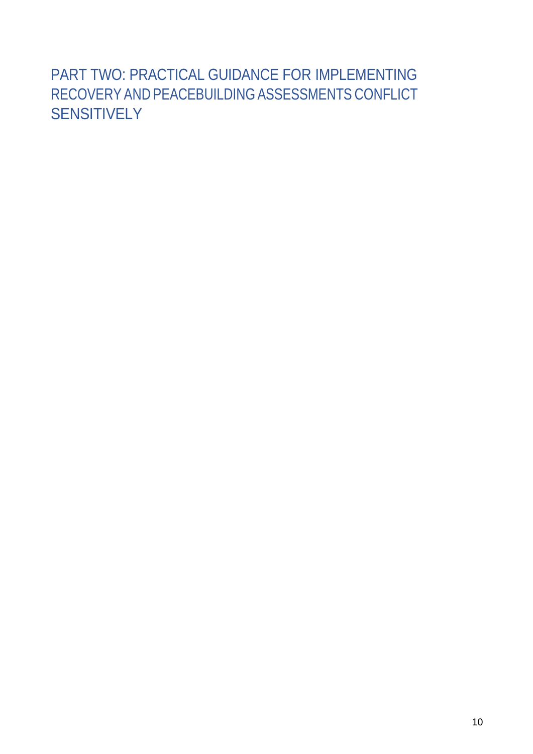# <span id="page-12-0"></span>PART TWO: PRACTICAL GUIDANCE FOR IMPLEMENTING RECOVERY AND PEACEBUILDING ASSESSMENTS CONFLICT SENSITIVELY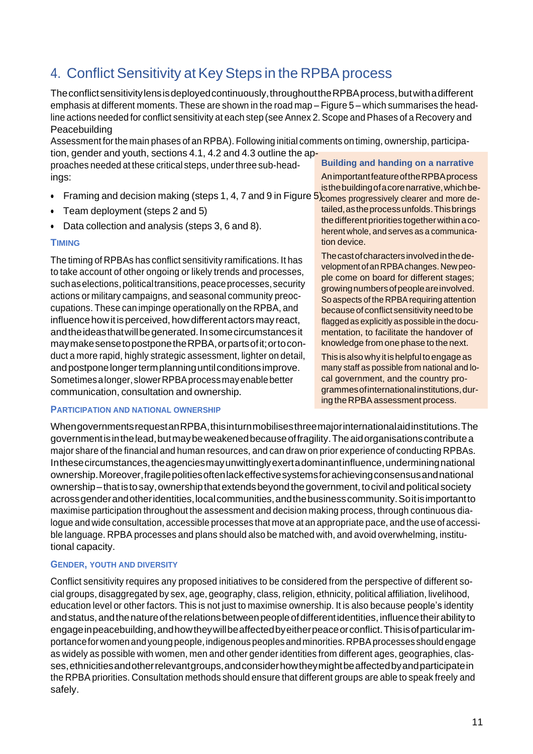# <span id="page-13-0"></span>4. Conflict Sensitivity at Key Steps in the RPBA process

Theconflictsensitivitylensisdeployedcontinuously,throughouttheRPBAprocess,butwithadifferent emphasis at different moments. These are shown in the road map – Figure 5 – which summarises the headline actions needed for conflict sensitivity at each step (see Annex 2. Scope and Phases of a Recovery and Peacebuilding

Assessment forthe main phases of an RPBA). Following initial comments on timing, ownership, participation, gender and youth, sections 4.1, 4.2 and 4.3 outline the ap-

proaches needed at these critical steps, underthree sub-headings:

- Framing and decision making (steps 1, 4, 7 and 9 in Figure  $5)_{\rm comes}$  progressively clearer and more de-
- Team deployment (steps 2 and 5)
- Data collection and analysis (steps 3, 6 and 8).

# **TIMING**

The timing of RPBAs has conflict sensitivity ramifications. It has to take account of other ongoing or likely trends and processes, such as elections, political transitions, peace processes, security actions or military campaigns, and seasonal community preoccupations. These can impinge operationally on the RPBA, and influence how it is perceived, how different actors may react, andtheideasthatwillbegenerated.Insomecircumstancesit maymakesensetopostponetheRPBA,orpartsofit;ortoconduct a more rapid, highly strategic assessment, lighter on detail, and postpone longer term planning until conditions improve. Sometimesalonger,slowerRPBAprocessmayenablebetter communication, consultation and ownership.

### **Building and handing on a narrative**

AnimportantfeatureoftheRPBAprocess isthebuildingofacorenarrative,whichbe-

tailed,astheprocessunfolds.Thisbrings the different priorities together within a coherent whole, and serves as a communication device.

The cast of characters involved in the development ofanRPBAchanges. Newpeople come on board for different stages; growingnumbersofpeopleareinvolved. So aspects of the RPBA requiring attention because of conflict sensitivity need to be flagged as explicitly as possible in the documentation, to facilitate the handover of knowledge from one phase to the next.

This is also why it is helpful to engage as many staff as possible from national and local government, and the country programmesofinternationalinstitutions,during the RPBA assessment process.

### **PARTICIPATION AND NATIONAL OWNERSHIP**

Whengovernments requestan RPBA, this inturnmobilises three major international aid institutions. The governmentisinthelead,butmaybeweakenedbecauseoffragility.Theaidorganisationscontributea major share of the financial and human resources, and can draw on prior experience of conducting RPBAs. Inthese circumstances, the agencies may unwittingly exert adominant influence, undermining national ownership.Moreover,fragilepolitiesoftenlackeffectivesystemsforachievingconsensusandnational ownership–that is to say, ownership that extends beyond the government, to civil and political society acrossgenderandotheridentities, local communities, and the business community. So it is important to maximise participation throughout the assessment and decision making process, through continuous dialogue and wide consultation, accessible processes that move at an appropriate pace, and the use of accessible language. RPBA processes and plans should also be matched with, and avoid overwhelming, institutional capacity.

### **GENDER, YOUTH AND DIVERSITY**

Conflict sensitivity requires any proposed initiatives to be considered from the perspective of different social groups, disaggregated by sex, age, geography, class, religion, ethnicity, political affiliation, livelihood, education level or other factors. This is not just to maximise ownership. It is also because people's identity and status, and the nature of the relations between people of different identities, influence their ability to engage in peacebuilding, and how they will be affected by either peace or conflict. This is of particular importanceforwomenandyoung people,indigenous peoplesandminorities.RPBAprocesses shouldengage as widely as possible with women, men and other gender identities from different ages, geographies, classes,ethnicitiesandotherrelevantgroups,andconsiderhowtheymightbeaffectedbyandparticipatein the RPBA priorities. Consultation methods should ensure that different groups are able to speak freely and safely.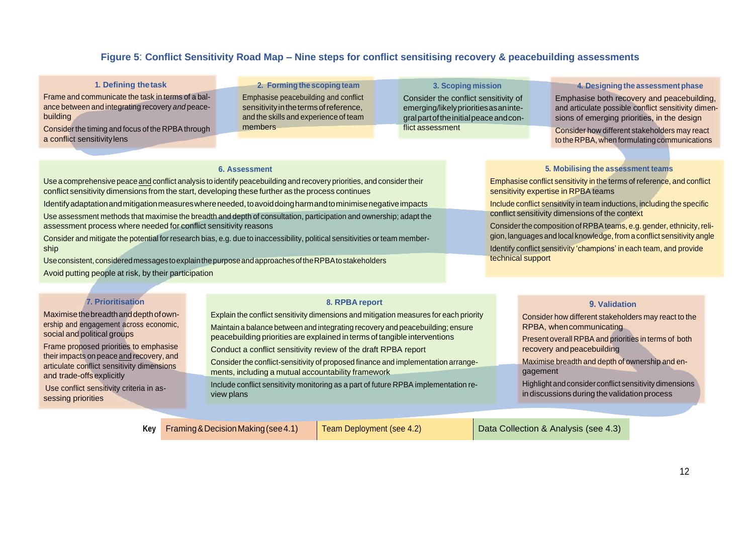# **Figure 5**: **Conflict Sensitivity Road Map – Nine steps for conflict sensitising recovery & peacebuilding assessments**

#### **1. Defining thetask**

Frame and communicate the task in terms of a balance between and integrating recovery *and* peacebuilding

Consider the timing and focus of the RPBA through a conflict sensitivitylens

**2. Formingthe scopingteam** Emphasise peacebuilding and conflict sensitivity in the terms of reference, and the skills and experience of team members

**3. Scoping mission** Consider the conflict sensitivity of emerging/likelyprioritiesasanintegralpartoftheinitialpeaceandconflict assessment

#### **4. Designing the assessmentphase**

Emphasise both recovery and peacebuilding, and articulate possible conflict sensitivity dimensions of emerging priorities, in the design

Consider how different stakeholders may react to the RPBA, when formulating communications

#### **6. Assessment**

Use a comprehensive peace and conflict analysis to identify peacebuilding and recovery priorities, and considertheir conflict sensitivity dimensions from the start, developing these further as the process continues Identifyadaptationandmitigationmeasureswhereneeded,toavoiddoingharmandtominimisenegativeimpacts

Use assessment methods that maximise the breadth and depth of consultation, participation and ownership; adapt the assessment process where needed for conflict sensitivity reasons

Consider and mitigate the potential for research bias, e.g. due to inaccessibility, political sensitivities orteam membership

Useconsistent, consideredmessagestoexplainthepurposeandapproachesoftheRPBAtostakeholders Avoid putting people at risk, by their participation

#### **7. Prioritisation**

Maximisethebreadthanddepthofownership and engagement across economic, social and political groups

Frame proposed priorities to emphasise theirimpacts on peace and recovery, and articulate conflict sensitivity dimensions and trade-offsexplicitly

Use conflict sensitivity criteria in assessing priorities

#### **8. RPBA report**

Explain the conflict sensitivity dimensions and mitigation measures for each priority

Maintain a balance between and integrating recovery and peacebuilding; ensure peacebuilding priorities are explained in terms of tangible interventions

Conduct a conflict sensitivity review of the draft RPBA report

Consider the conflict-sensitivity of proposed finance and implementation arrangements, including a mutual accountability framework

Include conflict sensitivity monitoring as a part of future RPBA implementation review plans

#### **5. Mobilising the assessment teams**

Emphasise conflict sensitivity in the terms of reference, and conflict sensitivity expertise in RPBA teams

Include conflict sensitivity in team inductions, including the specific conflict sensitivity dimensions of the context

Consider the composition of RPBA teams, e.g. gender, ethnicity, religion, languages and local knowledge, from a conflict sensitivity angle Identify conflict sensitivity 'champions' in each team, and provide technical support

#### **9. Validation**

Consider how different stakeholders may react to the RPBA, when communicating

Present overall RPBA and priorities in terms of both recovery andpeacebuilding

Maximise breadth and depth of ownership and engagement

Highlight andconsider conflict sensitivity dimensions in discussions during the validation process

**Key** Framing & Decision Making (see 4.1) Team Deployment (see 4.2) Data Collection & Analysis (see 4.3)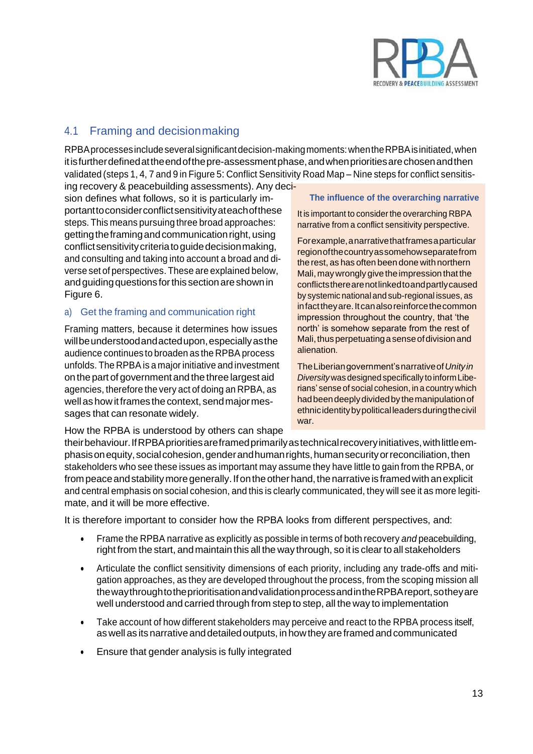

# <span id="page-15-0"></span>4.1 Framing and decisionmaking

RPBAprocessesincludeseveralsignificantdecision-makingmoments:whentheRPBAisinitiated,when itisfurtherdefinedattheendofthepre-assessmentphase,andwhenprioritiesarechosenandthen validated (steps 1, 4, 7 and 9 in Figure 5: Conflict Sensitivity Road Map – Nine steps for conflict sensitis-

ing recovery & peacebuilding assessments). Any decision defines what follows, so it is particularly importanttoconsiderconflictsensitivityateachofthese steps. This means pursuing three broad approaches: getting the framing and communication right, using conflict sensitivity criteria to guide decision making, and consulting and taking into account a broad and diverse set of perspectives. These are explained below, andguidingquestions forthis sectionareshownin Figure 6.

### a) Get the framing and communication right

Framing matters, because it determines how issues willbeunderstoodandactedupon,especiallyasthe audience continues to broaden as the RPBA process unfolds. The RPBA is a major initiative and investment on thepart of governmentand the three largest aid agencies, therefore the very act of doing an RPBA, as well as how it frames the context, send major messages that can resonate widely.

How the RPBA is understood by others can shape

#### **The influence of the overarching narrative**

It is important to consider the overarching RBPA narrative from a conflict sensitivity perspective.

Forexample,anarrativethatframesaparticular regionofthecountryassomehowseparatefrom the rest, as has often been done with northern Mali, may wrongly give the impression that the conflictstherearenotlinkedtoandpartlycaused by systemic national and sub-regional issues, as infact they are. It can also reinforce the common impression throughout the country, that 'the north' is somehow separate from the rest of Mali, thus perpetuating a sense of division and alienation.

TheLiberiangovernment'snarrativeof*Unityin Diversity* was designed specifically to inform Liberians' sense of social cohesion, in a country which hadbeendeeplydividedby themanipulationof ethnicidentitybypoliticalleadersduringthecivil war.

their behaviour. If RPBA priorities are framed primarily as technical recovery initiatives, with little emphasis on equity, social cohesion, gender and human rights, human security or reconciliation, then stakeholders who see these issues as important may assume they have little to gain from the RPBA, or from peace and stability more generally. If on the other hand, the narrative is framed with an explicit and central emphasis on social cohesion, and this is clearly communicated, they will see it as more legitimate, and it will be more effective.

It is therefore important to consider how the RPBA looks from different perspectives, and:

- Frame the RPBA narrative as explicitly as possible in terms of both recovery *and* peacebuilding, right from the start, andmaintain this all the way through, so it is clearto all stakeholders
- Articulate the conflict sensitivity dimensions of each priority, including any trade-offs and mitigation approaches, as they are developed throughout the process, from the scoping mission all thewaythroughtotheprioritisationandvalidationprocessandintheRPBAreport,sotheyare well understood and carried through from step to step, all the way to implementation
- Take account of how different stakeholders may perceive and react to the RPBA process itself, aswellas itsnarrativeanddetailedoutputs, in howthey are framed andcommunicated
- Ensure that gender analysis is fully integrated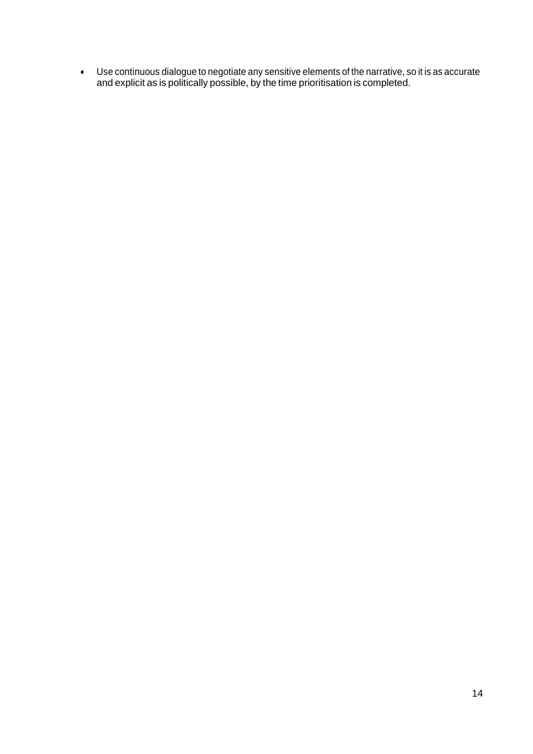• Use continuous dialogue to negotiate any sensitive elements of the narrative, so it is as accurate and explicit as is politically possible, by the time prioritisation is completed.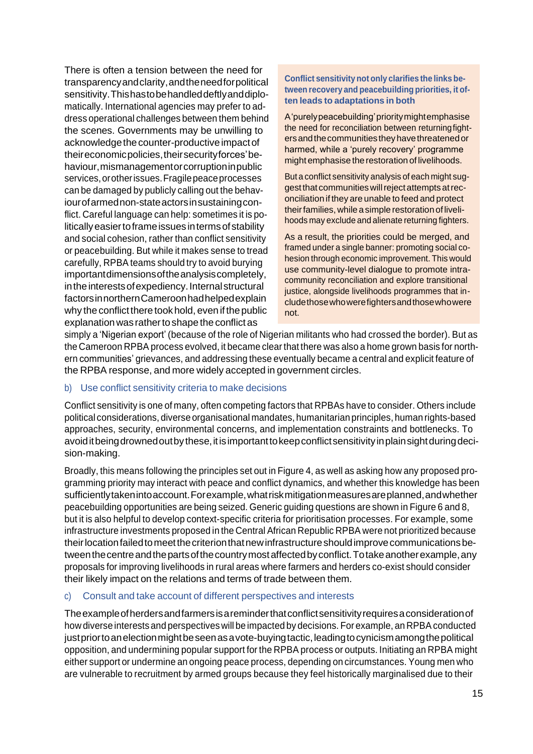There is often a tension between the need for transparencyandclarity,andtheneedforpolitical sensitivity.Thishastobehandleddeftlyanddiplomatically. International agencies may prefer to address operational challenges between them behind the scenes. Governments may be unwilling to acknowledge the counter-productive impact of theireconomicpolicies,theirsecurityforces'behaviour, mismanagement or corruption in public services,orotherissues.Fragilepeaceprocesses can be damaged by publicly calling out the behaviourofarmednon-stateactorsinsustainingconflict. Careful language can help: sometimes it is politicallyeasiertoframeissues intermsofstability and social cohesion, rather than conflict sensitivity or peacebuilding. But while it makes sense to tread carefully, RPBA teams should try to avoid burying importantdimensionsoftheanalysiscompletely, in the interests of expediency. Internal structural factorsinnorthernCameroonhadhelpedexplain why the conflict there took hold, even if the public explanation was rather to shape the conflict as

**Conflict sensitivity not only clarifies the links between recovery and peacebuilding priorities, it often leads to adaptations in both**

A'purelypeacebuilding'prioritymightemphasise the need for reconciliation between returningfightersandthecommunitiestheyhavethreatenedor harmed, while a 'purely recovery' programme might emphasise therestoration of livelihoods.

But a conflict sensitivity analysis of each might suggestthat communitieswillrejectattemptsatreconciliation if they are unable to feed and protect their families, while a simple restoration of livelihoods may exclude and alienate returning fighters.

As a result, the priorities could be merged, and framed under a single banner: promoting social cohesion through economic improvement. This would use community-level dialogue to promote intracommunity reconciliation and explore transitional justice, alongside livelihoods programmes that includethosewhowerefightersandthosewhowere not.

simply a 'Nigerian export' (because of the role of Nigerian militants who had crossed the border). But as the Cameroon RPBA process evolved, it became clearthat there was also a home grown basis for northern communities' grievances, and addressing these eventually became a central and explicit feature of the RPBA response, and more widely accepted in government circles.

### b) Use conflict sensitivity criteria to make decisions

Conflict sensitivity is one of many, often competing factors that RPBAs have to consider. Others include political considerations, diverse organisational mandates, humanitarian principles, human rights-based approaches, security, environmental concerns, and implementation constraints and bottlenecks. To avoid it being drowned out by these, it is important to keep conflict sensitivity in plain sight during decision-making.

Broadly, this means following the principles set out in Figure 4, as well as asking how any proposed programming priority may interact with peace and conflict dynamics, and whether this knowledge has been sufficientlytakenintoaccount.Forexample,whatriskmitigationmeasuresareplanned,andwhether peacebuilding opportunities are being seized. Generic guiding questions are shown in Figure 6 and 8, but it is also helpful to develop context-specific criteria for prioritisation processes. For example, some infrastructure investments proposed in the Central African Republic RPBA were not prioritized because their location failed to meet the criterion that new infrastructure should improve communications betweenthecentreandthepartsofthecountrymostaffectedbyconflict.Totakeanotherexample,any proposals for improving livelihoods in rural areas where farmers and herders co-exist should consider their likely impact on the relations and terms of trade between them.

### c) Consult and take account of different perspectives and interests

Theexampleofherdersandfarmersisareminderthatconflictsensitivityrequiresaconsiderationof how diverse interests and perspectives will be impacted by decisions. For example, an RPBA conducted justpriortoanelectionmightbeseenasavote-buyingtactic,leadingtocynicismamongthepolitical opposition, and undermining popular support for the RPBA process or outputs. Initiating an RPBA might either support or undermine an ongoing peace process, depending on circumstances. Young men who are vulnerable to recruitment by armed groups because they feel historically marginalised due to their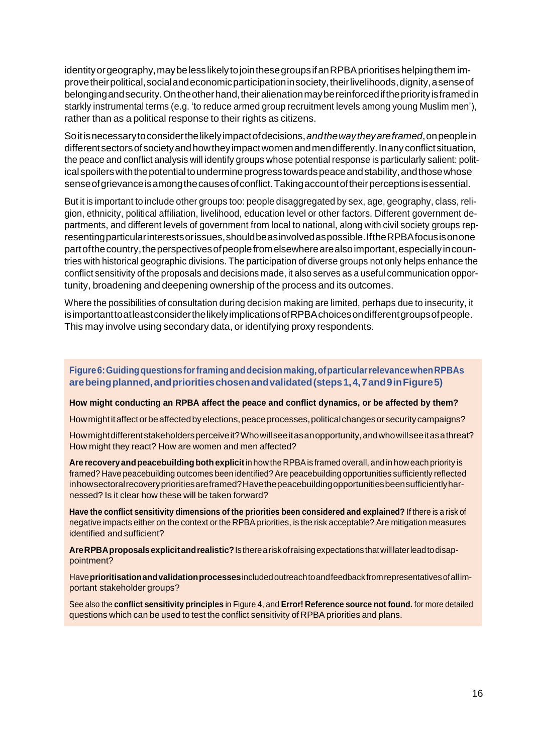identity or geography, may be less likely to join these groups if an RPBA prioritises helping them improve their political, social and economic participation in society, their livelihoods, dignity, a sense of belongingandsecurity.Ontheotherhand,theiralienationmaybereinforcedifthepriorityisframedin starkly instrumental terms (e.g. 'to reduce armed group recruitment levels among young Muslim men'), rather than as a political response to their rights as citizens.

Soitisnecessarytoconsiderthelikelyimpactofdecisions,*andthewaytheyareframed*,onpeoplein different sectors of society and how they impact women and men differently. In any conflict situation, the peace and conflict analysis will identify groups whose potential response is particularly salient: political spoilers with the potential to undermine progress towards peace and stability, and those whose senseofgrievanceisamongthecausesofconflict.Takingaccountoftheirperceptionsisessential.

But it is important to include other groups too: people disaggregated by sex, age, geography, class, religion, ethnicity, political affiliation, livelihood, education level or other factors. Different government departments, and different levels of government from local to national, along with civil society groups representingparticularinterestsorissues,shouldbeasinvolvedaspossible.IftheRPBAfocusisonone part of the country, the perspectives of people from elsewhere are also important, especially in countries with historical geographic divisions. The participation of diverse groups not only helps enhance the conflict sensitivity of the proposals and decisions made, it also serves as a useful communication opportunity, broadening and deepening ownership of the process and its outcomes.

Where the possibilities of consultation during decision making are limited, perhaps due to insecurity, it isimportanttoatleastconsiderthelikelyimplicationsofRPBAchoicesondifferentgroupsofpeople. This may involve using secondary data, or identifying proxy respondents.

**Figure6:Guidingquestionsforframinganddecisionmaking,ofparticularrelevancewhenRPBAs arebeingplanned,andprioritieschosenandvalidated(steps1,4,7and9inFigure5)**

**How might conducting an RPBA affect the peace and conflict dynamics, or be affected by them?**

How might it affect or be affected by elections, peace processes, political changes or security campaigns?

Howmight different stakeholders perceive it? Who will see it as an opportunity, and who will see it as a threat? How might they react? How are women and men affected?

Are recovery and peacebuilding both explicit in how the RPBA is framed overall, and in how each priority is framed? Have peacebuilding outcomes been identified? Are peacebuilding opportunities sufficiently reflected inhowsectoralrecoveryprioritiesareframed?Havethepeacebuildingopportunitiesbeensufficientlyharnessed? Is it clear how these will be taken forward?

**Have the conflict sensitivity dimensions of the priorities been considered and explained?** If there is a risk of negative impacts either on the context or the RPBA priorities, is the risk acceptable? Are mitigation measures identified and sufficient?

**AreRPBAproposalsexplicitandrealistic?**Isthereariskofraisingexpectationsthatwilllaterleadtodisappointment?

Have**prioritisationandvalidationprocesses**includedoutreachtoandfeedbackfromrepresentativesofallimportant stakeholder groups?

See also the **conflict sensitivity principles** in Figure 4, and **Error! Reference source not found.** for more detailed questions which can be used to test the conflict sensitivity of RPBA priorities and plans.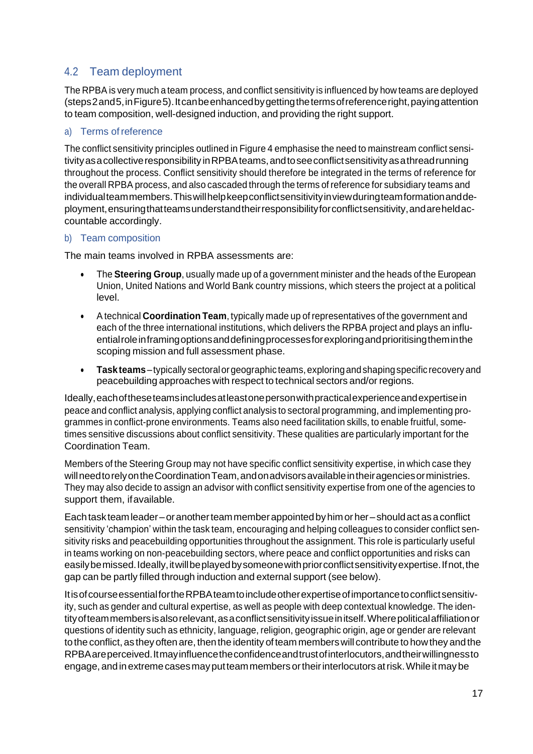# <span id="page-19-0"></span>4.2 Team deployment

The RPBA is very much a team process, and conflict sensitivity is influenced by how teams are deployed (steps2and5,inFigure5).Itcanbeenhancedbygettingthetermsofreferenceright,payingattention to team composition, well-designed induction, and providing the right support.

# a) Terms ofreference

The conflict sensitivity principles outlined in Figure 4 emphasise the need to mainstream conflict sensitivity as a collective responsibility in RPBA teams, and to see conflict sensitivity as a thread running throughout the process. Conflict sensitivity should therefore be integrated in the terms of reference for the overall RPBA process, and also cascaded through the terms of reference for subsidiary teams and individualteammembers. This will help keep conflict sensitivity in view during teamformation and deployment, ensuring that teams understand their responsibility for conflict sensitivity, and are held accountable accordingly.

# b) Team composition

The main teams involved in RPBA assessments are:

- The **Steering Group**, usually made up of a government minister and the heads of the European Union, United Nations and World Bank country missions, which steers the project at a political level.
- Atechnical **Coordination Team**, typically made up of representatives of the government and each of the three international institutions, which delivers the RPBA project and plays an influentialroleinframingoptionsanddefiningprocessesforexploringandprioritisingtheminthe scoping mission and full assessment phase.
- **Taskteams**–typically sectoralorgeographic teams,exploringandshapingspecific recovery and peacebuilding approaches with respect to technical sectors and/or regions.

Ideally,eachoftheseteamsincludesatleastonepersonwithpracticalexperienceandexpertisein peace and conflict analysis, applying conflict analysis to sectoral programming, and implementing programmes in conflict-prone environments. Teams also need facilitation skills, to enable fruitful, sometimes sensitive discussions about conflict sensitivity. These qualities are particularly important for the Coordination Team.

Members of the Steering Group may not have specific conflict sensitivity expertise, in which case they will need to rely on the Coordination Team, and on advisors available in their agencies or ministries. They may also decide to assign an advisor with conflict sensitivity expertise from one of the agencies to support them, if available.

Eachtaskteamleader–oranotherteammemberappointedbyhimorher–shouldactasaconflict sensitivity 'champion' within the task team, encouraging and helping colleagues to consider conflict sensitivity risks and peacebuilding opportunities throughout the assignment. This role is particularly useful in teams working on non-peacebuilding sectors, where peace and conflict opportunities and risks can easily be missed. Ideally, it will be played by someone with prior conflict sensitivity expertise. If not, the gap can be partly filled through induction and external support (see below).

ItisofcourseessentialfortheRPBAteamtoincludeotherexpertiseofimportancetoconflictsensitivity, such as gender and cultural expertise, as well as people with deep contextual knowledge. The identityofteammembersisalsorelevant,asaconflictsensitivityissueinitself.Wherepoliticalaffiliationor questions of identity such as ethnicity, language, religion, geographic origin, age or gender are relevant to the conflict, as they often are, then the identity of team members will contribute to how they and the RPBAareperceived.Itmayinfluencetheconfidenceandtrustofinterlocutors,andtheirwillingnessto engage, and in extreme cases may put team members or their interlocutors at risk. While it may be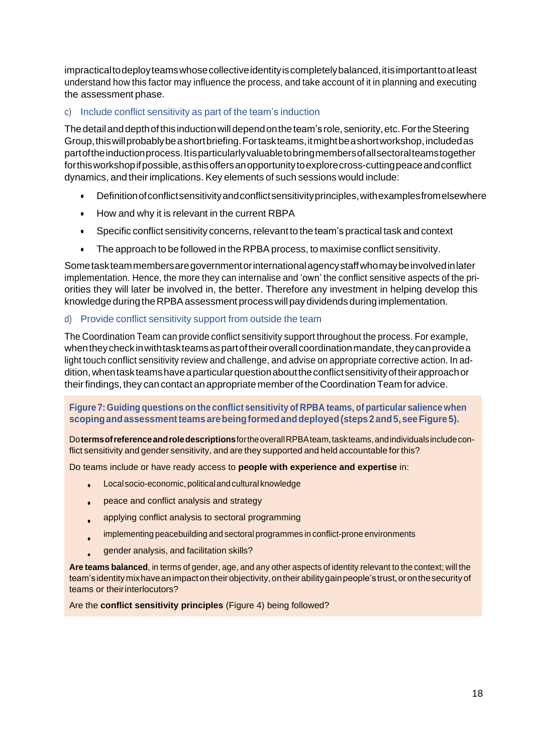impracticaltodeployteamswhosecollectiveidentityiscompletelybalanced,itisimportanttoatleast understand how this factor may influence the process, and take account of it in planning and executing the assessment phase.

# c) Include conflict sensitivity as part of the team's induction

Thedetailanddepthofthis inductionwilldependontheteam'srole, seniority,etc.FortheSteering Group,thiswillprobablybeashortbriefing.Fortaskteams,itmightbeashortworkshop,includedas partoftheinductionprocess.Itisparticularlyvaluabletobringmembersofallsectoralteamstogether for this workshop if possible, as this offers an opportunity to explore cross-cutting peace and conflict dynamics, and their implications. Key elements of such sessions would include:

- Definitionofconflictsensitivityandconflictsensitivityprinciples,withexamplesfromelsewhere
- How and why it is relevant in the current RBPA
- Specific conflict sensitivity concerns, relevant to the team's practical task and context
- The approach to be followed in the RPBA process, to maximise conflict sensitivity.

Sometaskteammembersaregovernmentorinternationalagencystaffwhomaybeinvolvedinlater implementation. Hence, the more they can internalise and 'own' the conflict sensitive aspects of the priorities they will later be involved in, the better. Therefore any investment in helping develop this knowledge during the RPBA assessment process will pay dividends during implementation.

# d) Provide conflict sensitivity support from outside the team

The Coordination Team can provide conflict sensitivity support throughout the process. For example, when they check in with task teams as part of their overall coordination mandate, they can provide a light touch conflict sensitivity review and challenge, and advise on appropriate corrective action. In addition, when task teams have a particular question about the conflict sensitivity of their approach or their findings, they can contact an appropriate member of the Coordination Team for advice.

# **Figure 7: Guiding questions on the conflict sensitivity of RPBA teams, of particular salience when scopingandassessmentteamsarebeingformedanddeployed(steps2 and5,seeFigure5).**

Do**termsofreferenceandroledescriptions**fortheoverallRPBAteam,taskteams,andindividualsincludeconflict sensitivity and gender sensitivity, and are they supported and held accountable for this?

Do teams include or have ready access to **people with experience and expertise** in:

- Local socio-economic, political and cultural knowledge
- peace and conflict analysis and strategy •
- applying conflict analysis to sectoral programming •
- implementing peacebuilding and sectoral programmes in conflict-prone environments •
- gender analysis, and facilitation skills? •

**Are teams balanced**, in terms of gender, age, and any other aspects of identity relevant to the context; will the team's identity mix have an impact on their objectivity, on their ability gain people's trust, or on the security of teams or theirinterlocutors?

Are the **conflict sensitivity principles** (Figure 4) being followed?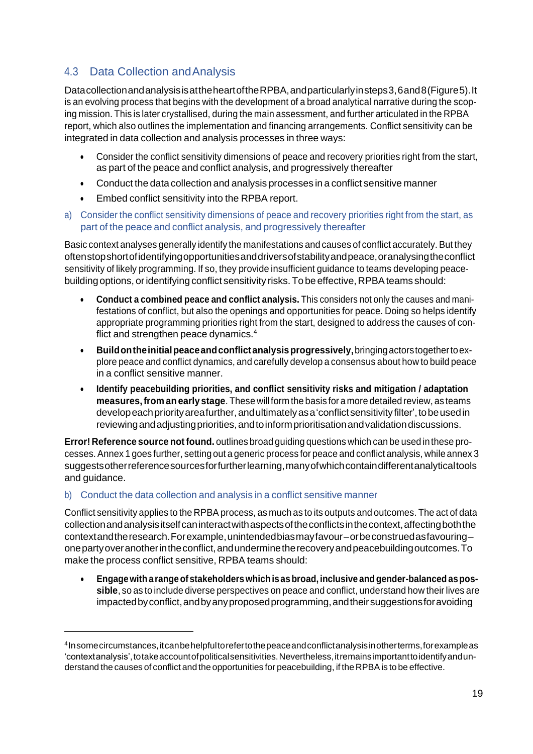# <span id="page-21-0"></span>4.3 Data Collection andAnalysis

DatacollectionandanalysisisattheheartoftheRPBA,andparticularlyinsteps3,6and8(Figure5).It is an evolving process that begins with the development of a broad analytical narrative during the scoping mission. This is later crystallised, during the main assessment, and further articulated in the RPBA report, which also outlines the implementation and financing arrangements. Conflict sensitivity can be integrated in data collection and analysis processes in three ways:

- Consider the conflict sensitivity dimensions of peace and recovery priorities right from the start, as part of the peace and conflict analysis, and progressively thereafter
- Conduct the data collection and analysis processes in a conflict sensitive manner
- Embed conflict sensitivity into the RPBA report.
- a) Consider the conflict sensitivity dimensions of peace and recovery priorities right from the start, as part of the peace and conflict analysis, and progressively thereafter

Basic context analyses generally identify the manifestations and causes of conflict accurately.But they oftenstopshortofidentifyingopportunitiesanddriversofstabilityandpeace,oranalysingtheconflict sensitivity of likely programming. If so, they provide insufficient guidance to teams developing peacebuilding options, or identifying conflict sensitivity risks. To be effective, RPBA teams should:

- **Conduct a combined peace and conflict analysis.** This considers not only the causes and manifestations of conflict, but also the openings and opportunities for peace. Doing so helps identify appropriate programming priorities right from the start, designed to address the causes of conflict and strengthen peace dynamics.<sup>4</sup>
- **Buildontheinitialpeaceandconflictanalysisprogressively,**bringingactorstogethertoexplore peace and conflict dynamics, and carefully develop a consensus about how to build peace in a conflict sensitive manner.
- **Identify peacebuilding priorities, and conflict sensitivity risks and mitigation / adaptation measures,from anearly stage**. These will form the basis for amore detailed review, as teams developeach priority areafurther, and ultimately as a 'conflict sensitivity filter', to be used in reviewingandadjustingpriorities,andtoinformprioritisationandvalidationdiscussions.

**Error! Reference source notfound.** outlines broad guiding questions which can be used inthese processes.Annex 1 goes further, setting out a generic process for peace and conflict analysis, while annex 3 suggestsotherreferencesourcesforfurtherlearning,manyofwhichcontaindifferentanalyticaltools and guidance.

# b) Conduct the data collection and analysis in a conflict sensitive manner

Conflict sensitivity applies to the RPBA process, as much as to its outputs and outcomes. The act of data collectionandanalysisitselfcaninteractwithaspectsoftheconflictsinthecontext,affectingboththe contextandtheresearch.Forexample,unintendedbiasmayfavour–orbeconstruedasfavouring– onepartyoveranotherintheconflict,andunderminetherecoveryandpeacebuildingoutcomes.To make the process conflict sensitive, RPBA teams should:

• **Engagewith arangeofstakeholderswhichis asbroad, inclusive andgender-balanced aspossible**, so as to include diverse perspectives on peace and conflict, understand how their lives are impactedbyconflict,andbyanyproposedprogramming,andtheirsuggestionsforavoiding

<sup>4</sup> Insomecircumstances,itcanbehelpfultorefertothepeaceandconflictanalysisinotherterms,forexampleas 'contextanalysis',totakeaccountofpoliticalsensitivities.Nevertheless,itremainsimportanttoidentifyandunderstand the causes of conflict and the opportunities for peacebuilding, if the RPBA is to be effective.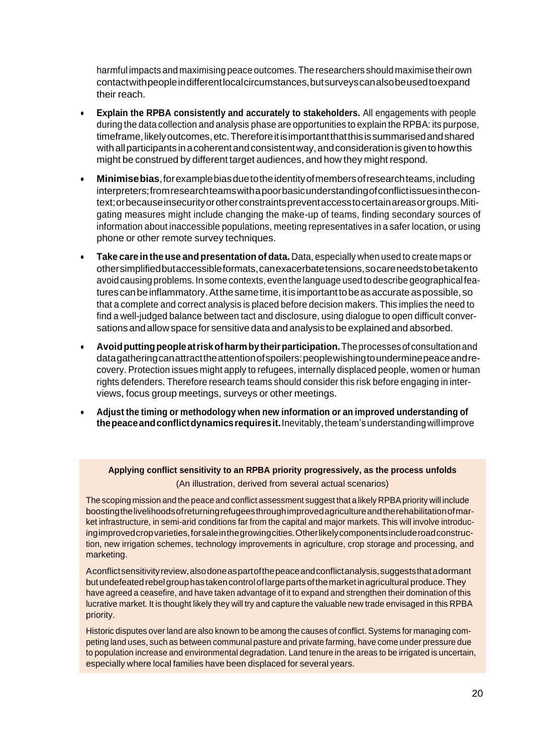harmful impacts and maximising peace outcomes.The researchers should maximisetheir own contactwithpeopleindifferentlocalcircumstances,butsurveyscanalsobeusedtoexpand their reach.

- **Explain the RPBA consistently and accurately to stakeholders.** All engagements with people during the data collection and analysis phase are opportunities to explain the RPBA: its purpose, timeframe, likely outcomes, etc. Therefore it is important that this is summarised and shared with all participants in a coherent and consistent way, and consideration is given to how this might be construed by different target audiences, and how they might respond.
- **Minimisebias**,forexamplebiasduetotheidentityofmembersofresearchteams,including interpreters;fromresearchteamswithapoorbasicunderstandingofconflictissuesinthecontext;orbecauseinsecurityorotherconstraintspreventaccesstocertainareasorgroups.Mitigating measures might include changing the make-up of teams, finding secondary sources of information about inaccessible populations, meeting representatives in a safer location, or using phone or other remote survey techniques.
- **Take care inthe use and presentation of data.** Data, especially when used to create maps or othersimplifiedbutaccessibleformats,canexacerbatetensions,socareneedstobetakento avoidcausing problems. Insome contexts, eventhe language used to describe geographical features can be inflammatory. At the same time, it is important to be as accurate as possible, so that a complete and correct analysis is placed before decision makers. This implies the need to find a well-judged balance between tact and disclosure, using dialogue to open difficult conversations andallowspace for sensitive data and analysis to be explained and absorbed.
- **Avoidputtingpeopleatriskofharmbytheirparticipation.**Theprocesses ofconsultationand datagatheringcanattracttheattentionofspoilers:peoplewishingtounderminepeaceandrecovery. Protection issues might apply to refugees, internally displaced people, women or human rights defenders. Therefore research teams should consider this risk before engaging in interviews, focus group meetings, surveys or other meetings.
- **Adjust the timing or methodology when new information or an improved understanding of thepeaceandconflictdynamicsrequiresit.**Inevitably,theteam'sunderstandingwillimprove

**Applying conflict sensitivity to an RPBA priority progressively, as the process unfolds** (An illustration, derived from several actual scenarios)

The scoping mission and the peace and conflict assessment suggest that a likely RPBApriority will include boostingthelivelihoodsofreturningrefugeesthroughimprovedagricultureandtherehabilitationofmarket infrastructure, in semi-arid conditions far from the capital and major markets. This will involve introducingimprovedcropvarieties,forsaleinthegrowingcities.Otherlikelycomponentsincluderoadconstruction, new irrigation schemes, technology improvements in agriculture, crop storage and processing, and marketing.

Aconflictsensitivity review, also done as part of the peace and conflict analysis, suggests that a dormant but undefeated rebel group has taken control of large parts of the market in agricultural produce. They have agreed a ceasefire, and have taken advantage of it to expand and strengthen their domination of this lucrative market. It is thought likely they will try and capture the valuable new trade envisaged in this RPBA priority.

Historic disputes over land are also known to be among the causes of conflict. Systems for managing competing land uses, such as between communal pasture and private farming, have come under pressure due to population increase and environmental degradation. Land tenure in the areas to be irrigated is uncertain, especially where local families have been displaced for several years.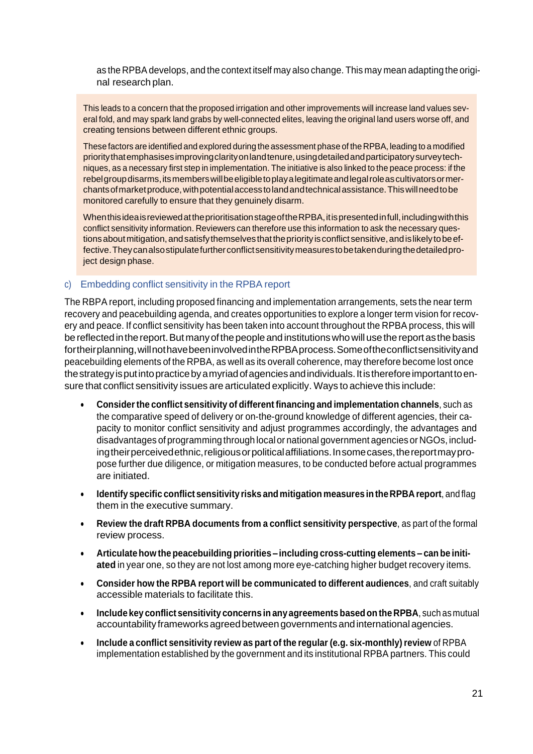as the RPBA develops, and the context itself may also change. This may mean adapting the original research plan.

This leads to a concern that the proposed irrigation and other improvements will increase land values several fold, and may spark land grabs by well-connected elites, leaving the original land users worse off, and creating tensions between different ethnic groups.

These factors are identified and explored during the assessment phase of the RPBA, leading to a modified priority that emphasises improving clarity on land tenure, using detailed and participatory survey techniques, as a necessary first step in implementation. The initiative is also linked to the peace process: if the rebelgroup disarms, its members will be eligible to play a legitimate and legal role as cultivators or merchantsofmarketproduce,withpotentialaccesstolandandtechnicalassistance.Thiswillneedtobe monitored carefully to ensure that they genuinely disarm.

When thisidea is reviewed at the prioritisation stage of the RPBA, it is presented in full, including with this conflict sensitivity information. Reviewers can therefore use this information to ask the necessary questions about mitigation, and satisfy themselves that the priority is conflict sensitive, and is likely to be effective.Theycanalsostipulatefurtherconflictsensitivitymeasurestobetakenduringthedetailedproject design phase.

### c) Embedding conflict sensitivity in the RPBA report

The RBPA report, including proposed financing and implementation arrangements, sets the near term recovery and peacebuilding agenda, and creates opportunities to explore a longer term vision for recovery and peace. If conflict sensitivity has been taken into account throughout the RPBA process, this will be reflected in the report. But many of the people and institutions who will use the report as the basis fortheirplanning,willnothavebeeninvolvedintheRPBAprocess.Someoftheconflictsensitivityand peacebuilding elements of the RPBA, as well as its overall coherence, may therefore become lost once thestrategyisputintopracticebyamyriadofagenciesandindividuals.Itisthereforeimportanttoensure that conflict sensitivity issues are articulated explicitly. Ways to achieve this include:

- **Considerthe conflict sensitivity of different financing and implementation channels**, such as the comparative speed of delivery or on-the-ground knowledge of different agencies, their capacity to monitor conflict sensitivity and adjust programmes accordingly, the advantages and disadvantages of programming through local or national government agencies or NGOs, including their perceived ethnic, religious or political affiliations. In some cases, the report may propose further due diligence, or mitigation measures, to be conducted before actual programmes are initiated.
- **Identify specific conflict sensitivity risks and mitigation measures intheRPBA report**, and flag them in the executive summary.
- **Review the draft RPBA documents from a conflict sensitivity perspective**, as part of the formal review process.
- **Articulatehow the peacebuilding priorities – including cross-cutting elements – can be initiated** in year one, so they are not lost among more eye-catching higher budget recovery items.
- **Consider how the RPBA report will be communicated to different audiences**, and craft suitably accessible materials to facilitate this.
- **Include key conflict sensitivity concerns in any agreements based on the RPBA**, such as mutual accountability frameworksagreedbetweengovernmentsandinternationalagencies.
- **Include a conflict sensitivity review as part of the regular (e.g. six-monthly)review** of RPBA implementation established by the government and its institutional RPBA partners. This could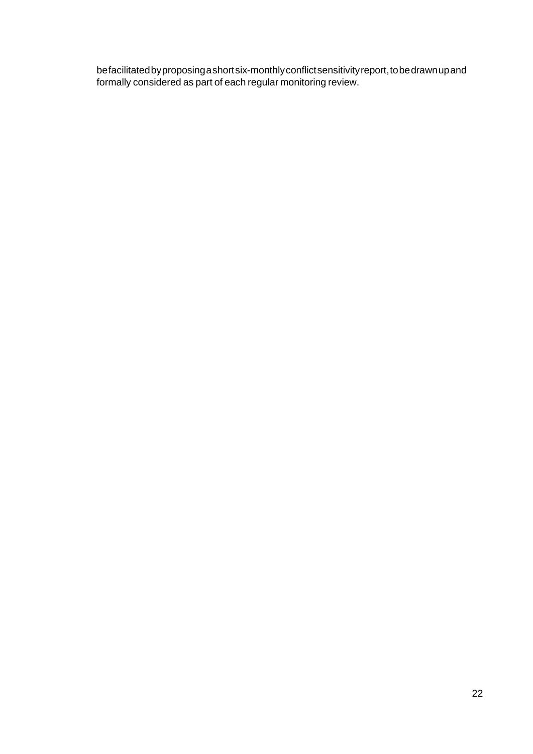befacilitatedbyproposingashortsix-monthlyconflictsensitivityreport,tobedrawnupand formally considered as part of each regular monitoring review.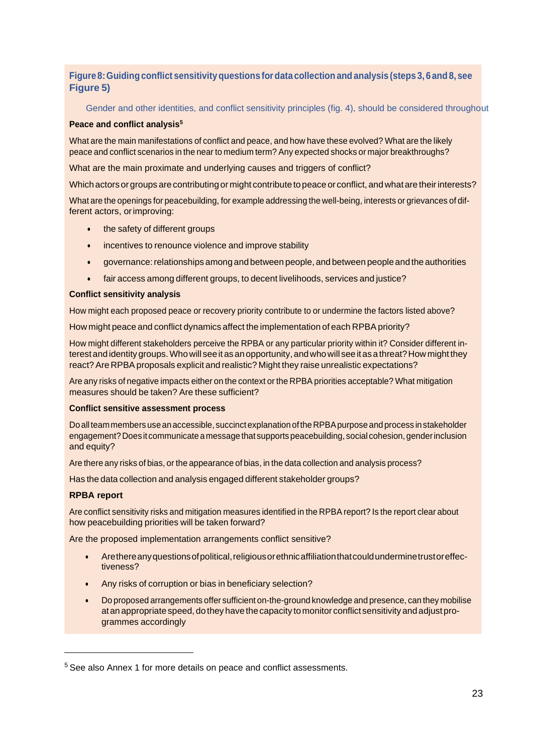# **Figure8:Guiding conflict sensitivityquestions fordata collection and analysis (steps 3, 6 and8, see Figure 5)**

Gender and other identities, and conflict sensitivity principles (fig. 4), should be considered throughout

#### **Peace and conflict analysis<sup>5</sup>**

What are the main manifestations of conflict and peace, and how have these evolved? What are the likely peace and conflict scenarios in the near to medium term? Any expected shocks or major breakthroughs?

What are the main proximate and underlying causes and triggers of conflict?

Which actors or groups are contributing or might contribute to peace or conflict, and what are their interests?

What are the openings for peacebuilding, for example addressing the well-being, interests or grievances of different actors, orimproving:

- the safety of different groups
- incentives to renounce violence and improve stability
- governance: relationships among and between people, and between people and the authorities
- fair access among different groups, to decent livelihoods, services and justice?

#### **Conflict sensitivity analysis**

How might each proposed peace or recovery priority contribute to or undermine the factors listed above?

How might peace and conflict dynamics affect the implementation of each RPBA priority?

How might different stakeholders perceive the RPBA or any particular priority within it? Consider different interest and identity groups. Who will see it as an opportunity, and who will see it as a threat? How might they react? Are RPBA proposals explicit and realistic? Might they raise unrealistic expectations?

Are any risks of negative impacts either on the context or the RPBA priorities acceptable? What mitigation measures should be taken? Are these sufficient?

#### **Conflict sensitive assessment process**

Do all team members use an accessible, succinct explanation of the RPBA purpose and process in stakeholder engagement? Does it communicate a message that supports peacebuilding, social cohesion, gender inclusion and equity?

Are there any risks of bias, or the appearance of bias, in the data collection and analysis process?

Has the data collection and analysis engaged different stakeholder groups?

#### **RPBA report**

Are conflict sensitivity risks and mitigation measures identified in the RPBA report? Is the report clear about how peacebuilding priorities will be taken forward?

Are the proposed implementation arrangements conflict sensitive?

- Are there any questions of political, religious or ethnic affiliation that could undermine trust or effectiveness?
- Any risks of corruption or bias in beneficiary selection?
- Do proposed arrangements offer sufficient on-the-ground knowledge and presence, can they mobilise at an appropriate speed, do they have the capacity to monitor conflict sensitivity and adjust programmes accordingly

<sup>&</sup>lt;sup>5</sup> See also Annex 1 for more details on peace and conflict assessments.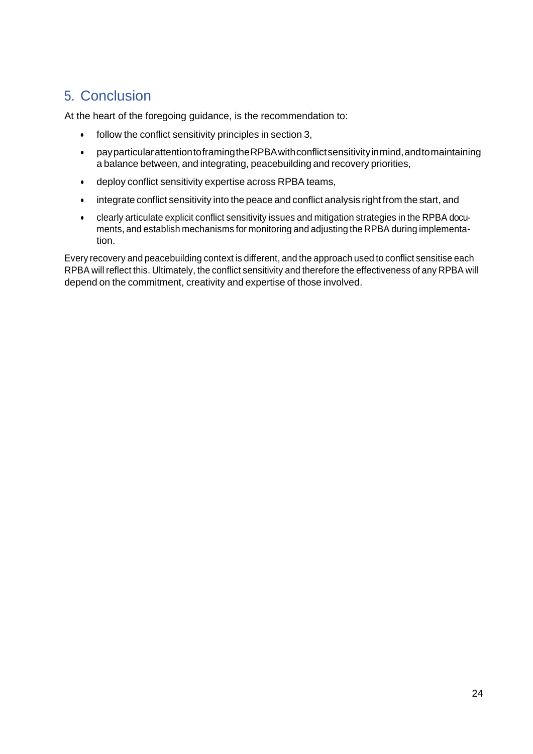# <span id="page-26-0"></span>5. Conclusion

At the heart of the foregoing guidance, is the recommendation to:

- follow the conflict sensitivity principles in section 3,
- payparticularattentiontoframingtheRPBAwithconflictsensitivityinmind,andtomaintaining a balance between, and integrating, peacebuilding and recovery priorities,
- deploy conflict sensitivity expertise across RPBA teams,
- integrate conflict sensitivity into the peace and conflict analysis right from the start, and
- clearly articulate explicit conflict sensitivity issues and mitigation strategies in the RPBA documents, and establish mechanisms for monitoring and adjusting the RPBA during implementation.

Every recovery and peacebuilding context is different, and the approach used to conflict sensitise each RPBA will reflect this. Ultimately, the conflict sensitivity and therefore the effectiveness of any RPBA will depend on the commitment, creativity and expertise of those involved.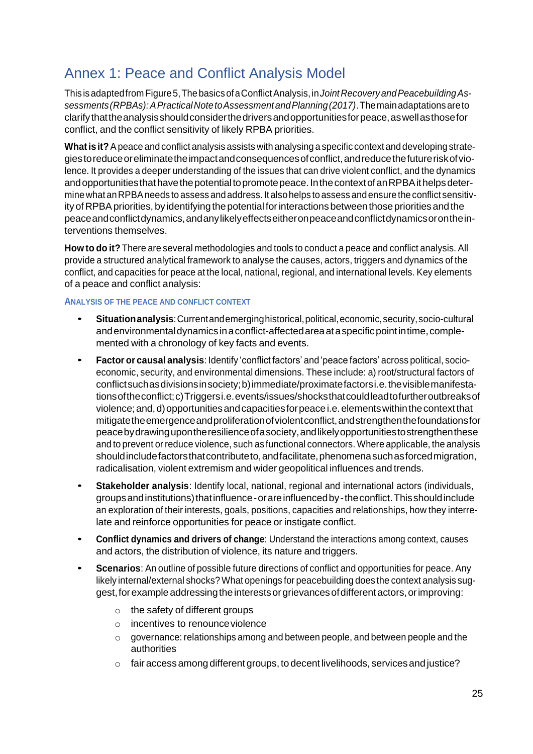# <span id="page-27-0"></span>Annex 1: Peace and Conflict Analysis Model

Thisisadaptedfrom Figure5,ThebasicsofaConflictAnalysis,in*JointRecoveryandPeacebuildingAssessments(RPBAs):APracticalNotetoAssessmentandPlanning(2017)*.Themainadaptationsareto clarifythattheanalysisshouldconsiderthedriversandopportunitiesforpeace,aswellasthosefor conflict, and the conflict sensitivity of likely RPBA priorities.

**Whatis it?**Apeace and conflict analysis assists with analysing a specific context and developing strategiestoreduceoreliminatetheimpactandconsequencesofconflict,andreducethefutureriskofviolence. It provides a deeper understanding of the issues that can drive violent conflict, and the dynamics and opportunities that have the potential to promote peace. In the context of an RPBA it helps determinewhat anRPBAneeds to assess andaddress. It alsohelps toassess andensure theconflict sensitivity of RPBA priorities, by identifying the potential for interactions between those priorities and the peaceandconflictdynamics,andanylikelyeffectseitheronpeaceandconflictdynamicsorontheinterventions themselves.

**How to do it?** There are several methodologies and tools to conduct a peace and conflict analysis. All provide a structured analytical framework to analyse the causes, actors, triggers and dynamics of the conflict, and capacities for peace at the local, national, regional, and international levels. Key elements of a peace and conflict analysis:

### **ANALYSIS OF THE PEACE AND CONFLICT CONTEXT**

- **Situationanalysis**:Currentandemerginghistorical,political,economic,security,socio-cultural andenvironmentaldynamicsinaconflict-affectedareaataspecificpointintime,complemented with a chronology of key facts and events.
- **Factor or causal analysis**: Identify 'conflict factors' and 'peace factors' across political, socioeconomic, security, and environmental dimensions. These include: a) root/structural factors of conflictsuchasdivisionsinsociety;b)immediate/proximatefactorsi.e.thevisiblemanifestationsoftheconflict;c)Triggersi.e.events/issues/shocksthatcouldleadtofurtheroutbreaksof violence;and,d)opportunitiesandcapacitiesforpeacei.e.elementswithinthecontextthat mitigatetheemergenceandproliferationofviolentconflict,andstrengthenthefoundationsfor peacebydrawingupontheresilienceofasociety,andlikelyopportunitiestostrengthenthese and to prevent or reduce violence, such as functional connectors. Where applicable, the analysis shouldinclude factors that contribute to, and facilitate, phenomena such as forced migration, radicalisation, violent extremism and wider geopolitical influences and trends.
- **Stakeholder analysis**: Identify local, national, regional and international actors (individuals, groups and institutions) that influence - or are influenced by - the conflict. This should include an exploration of their interests, goals, positions, capacities and relationships, how they interrelate and reinforce opportunities for peace or instigate conflict.
- **Conflict dynamics and drivers of change**: Understand the interactions among context, causes and actors, the distribution of violence, its nature and triggers.
- **Scenarios**: An outline of possible future directions of conflict and opportunities for peace. Any likely internal/external shocks?What openings for peacebuilding does the context analysis suggest, for example addressing the interests or grievances of different actors, or improving:
	- $\circ$  the safety of different groups
	- o incentives to renounceviolence
	- o governance: relationships among and between people, and between people and the authorities
	- $\circ$  fair access among different groups, to decent livelihoods, services and justice?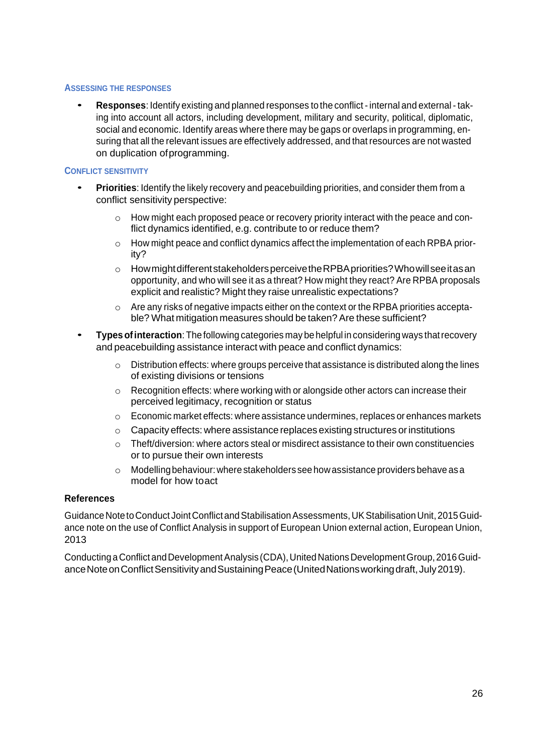### **ASSESSING THE RESPONSES**

• **Responses**: Identify existing and planned responses to the conflict -internal and external- taking into account all actors, including development, military and security, political, diplomatic, social and economic. Identify areas where there may be gaps or overlaps in programming, ensuring that all the relevant issues are effectively addressed, and that resources are not wasted on duplication ofprogramming.

### **CONFLICT SENSITIVITY**

- **Priorities**: Identify the likely recovery and peacebuilding priorities, and consider them from <sup>a</sup> conflict sensitivity perspective:
	- o How might each proposed peace or recovery priority interact with the peace and conflict dynamics identified, e.g. contribute to or reduce them?
	- o How might peace and conflict dynamics affect the implementation of each RPBA priority?
	- o HowmightdifferentstakeholdersperceivetheRPBApriorities?Whowillseeitasan opportunity, and who will see it as a threat? How might they react? Are RPBA proposals explicit and realistic? Might they raise unrealistic expectations?
	- $\circ$  Are any risks of negative impacts either on the context or the RPBA priorities acceptable? What mitigation measures should be taken? Are these sufficient?
- **Typesofinteraction**: Thefollowing categories may be helpful inconsidering ways thatrecovery and peacebuilding assistance interact with peace and conflict dynamics:
	- $\circ$  Distribution effects: where groups perceive that assistance is distributed along the lines of existing divisions or tensions
	- o Recognition effects: where working with or alongside other actors can increase their perceived legitimacy, recognition or status
	- o Economic market effects: where assistance undermines, replaces or enhances markets
	- $\circ$  Capacity effects: where assistance replaces existing structures or institutions
	- $\circ$  Theft/diversion: where actors steal or misdirect assistance to their own constituencies or to pursue their own interests
	- $\circ$  Modelling behaviour: where stakeholders see how assistance providers behave as a model for how toact

### **References**

Guidance Note to Conduct Joint Conflict and Stabilisation Assessments, UK Stabilisation Unit, 2015 Guidance note on the use of Conflict Analysis in support of European Union external action, European Union, 2013

Conducting a Conflict and Development Analysis (CDA), United Nations Development Group, 2016 Guidance Note on Conflict Sensitivity and Sustaining Peace (United Nations working draft, July 2019).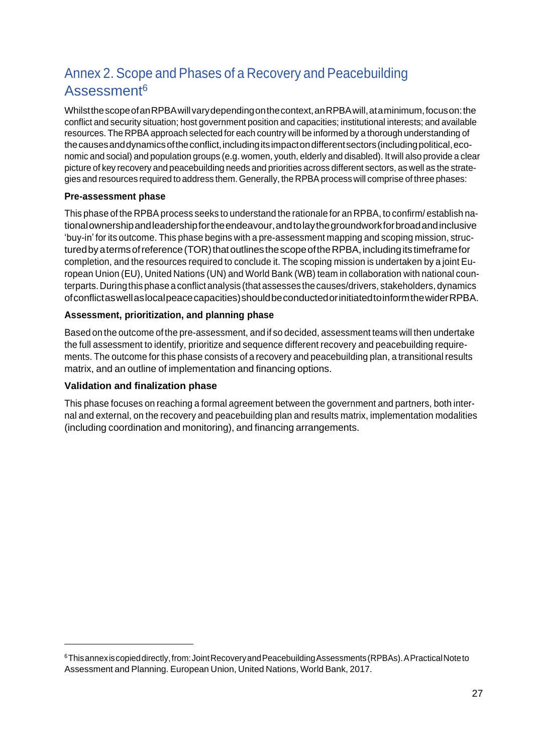# Annex 2. Scope and Phases of a Recovery and Peacebuilding Assessment<sup>6</sup>

WhilstthescopeofanRPBAwillvarydependingonthecontext,anRPBAwill,ataminimum,focuson:the conflict and security situation; host government position and capacities; institutional interests; and available resources. The RPBA approach selected for each country will be informed by a thorough understanding of the causes and dynamics of the conflict, including its impact on different sectors (including political, economic and social) and population groups (e.g. women, youth, elderly and disabled). It will also provide a clear picture of key recovery and peacebuilding needs and priorities across different sectors, as well as the strategies and resources required to address them. Generally, the RPBA process will comprise of three phases:

# **Pre-assessment phase**

This phase of the RPBA process seeks to understand the rationale for an RPBA, to confirm/ establish nationalownershipandleadershipfortheendeavour,andtolaythegroundworkforbroadandinclusive 'buy-in' for its outcome. This phase begins with a pre-assessment mapping and scoping mission, structured by a terms of reference (TOR) that outlines the scope of the RPBA, including its timeframe for completion, and the resources required to conclude it. The scoping mission is undertaken by a joint European Union (EU), United Nations (UN) and World Bank (WB) team in collaboration with national counterparts.Duringthis phase aconflict analysis (that assesses thecauses/drivers, stakeholders, dynamics ofconflictaswellaslocalpeacecapacities)shouldbeconductedorinitiatedtoinformthewiderRPBA.

# **Assessment, prioritization, and planning phase**

Based on the outcome of the pre-assessment, and if so decided, assessment teams will then undertake the full assessment to identify, prioritize and sequence different recovery and peacebuilding requirements. The outcome for this phase consists of a recovery and peacebuilding plan, a transitional results matrix, and an outline of implementation and financing options.

# **Validation and finalization phase**

This phase focuses on reaching a formal agreement between the government and partners, both internal and external, on the recovery and peacebuilding plan and results matrix, implementation modalities (including coordination and monitoring), and financing arrangements.

<sup>&</sup>lt;sup>6</sup>This annex is copied directly, from: Joint Recovery and Peacebuilding Assessments (RPBAs). A Practical Note to Assessment and Planning. European Union, United Nations, World Bank, 2017.